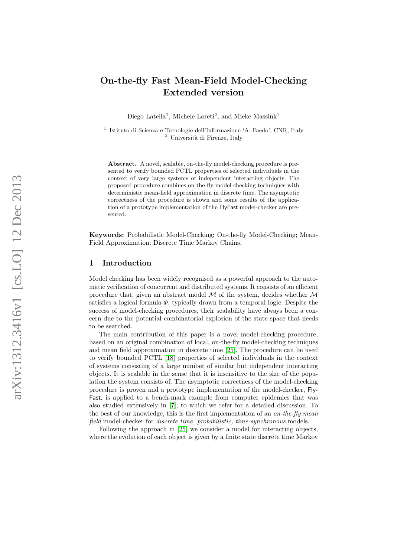# On-the-fly Fast Mean-Field Model-Checking Extended version

Diego Latella<sup>1</sup>, Michele Loreti<sup>2</sup>, and Mieke Massink<sup>1</sup>

<sup>1</sup> Istituto di Scienza e Tecnologie dell'Informazione 'A. Faedo', CNR, Italy  $2$  Università di Firenze, Italy

Abstract. A novel, scalable, on-the-fly model-checking procedure is presented to verify bounded PCTL properties of selected individuals in the context of very large systems of independent interacting objects. The proposed procedure combines on-the-fly model checking techniques with deterministic mean-field approximation in discrete time. The asymptotic correctness of the procedure is shown and some results of the application of a prototype implementation of the FlyFast model-checker are presented.

Keywords: Probabilistic Model-Checking; On-the-fly Model-Checking; Mean-Field Approximation; Discrete Time Markov Chains.

## 1 Introduction

Model checking has been widely recognised as a powerful approach to the automatic verification of concurrent and distributed systems. It consists of an efficient procedure that, given an abstract model  $M$  of the system, decides whether  $M$ satisfies a logical formula  $\Phi$ , typically drawn from a temporal logic. Despite the success of model-checking procedures, their scalability have always been a concern due to the potential combinatorial explosion of the state space that needs to be searched.

The main contribution of this paper is a novel model-checking procedure, based on an original combination of local, on-the-fly model-checking techniques and mean field approximation in discrete time [\[25\]](#page-23-0). The procedure can be used to verify bounded PCTL [\[18\]](#page-23-1) properties of selected individuals in the context of systems consisting of a large number of similar but independent interacting objects. It is scalable in the sense that it is insensitive to the size of the population the system consists of. The asymptotic correctness of the model-checking procedure is proven and a prototype implementation of the model-checker, Fly-Fast, is applied to a bench-mark example from computer epidemics that was also studied extensively in [\[7\]](#page-22-0), to which we refer for a detailed discussion. To the best of our knowledge, this is the first implementation of an *on-the-fly mean* field model-checker for discrete time, probabilistic, time-synchronous models.

Following the approach in [\[25\]](#page-23-0) we consider a model for interacting objects, where the evolution of each object is given by a finite state discrete time Markov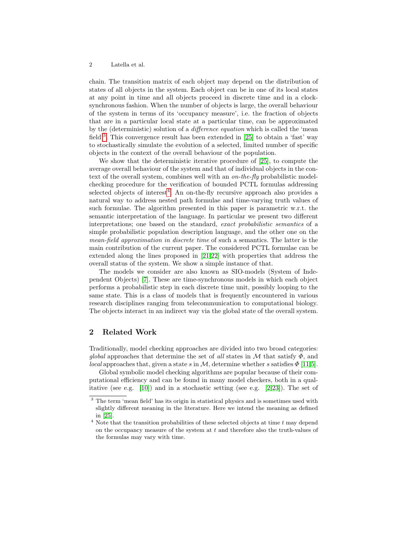chain. The transition matrix of each object may depend on the distribution of states of all objects in the system. Each object can be in one of its local states at any point in time and all objects proceed in discrete time and in a clocksynchronous fashion. When the number of objects is large, the overall behaviour of the system in terms of its 'occupancy measure', i.e. the fraction of objects that are in a particular local state at a particular time, can be approximated by the (deterministic) solution of a difference equation which is called the 'mean field<sup>[3](#page-1-0)</sup>. This convergence result has been extended in [\[25\]](#page-23-0) to obtain a 'fast' way to stochastically simulate the evolution of a selected, limited number of specific objects in the context of the overall behaviour of the population.

We show that the deterministic iterative procedure of [\[25\]](#page-23-0), to compute the average overall behaviour of the system and that of individual objects in the context of the overall system, combines well with an on-the-fly probabilistic modelchecking procedure for the verification of bounded PCTL formulas addressing selected objects of interest<sup>[4](#page-1-1)</sup>. An on-the-fly recursive approach also provides a natural way to address nested path formulae and time-varying truth values of such formulae. The algorithm presented in this paper is parametric w.r.t. the semantic interpretation of the language. In particular we present two different interpretations; one based on the standard, exact probabilistic semantics of a simple probabilistic population description language, and the other one on the mean-field approximation in discrete time of such a semantics. The latter is the main contribution of the current paper. The considered PCTL formulae can be extended along the lines proposed in [\[21,](#page-23-2)[22\]](#page-23-3) with properties that address the overall status of the system. We show a simple instance of that.

The models we consider are also known as SIO-models (System of Independent Objects) [\[7\]](#page-22-0). These are time-synchronous models in which each object performs a probabilistic step in each discrete time unit, possibly looping to the same state. This is a class of models that is frequently encountered in various research disciplines ranging from telecommunication to computational biology. The objects interact in an indirect way via the global state of the overall system.

## 2 Related Work

Traditionally, model checking approaches are divided into two broad categories: global approaches that determine the set of all states in M that satisfy  $\Phi$ , and local approaches that, given a state s in M, determine whether s satisfies  $\Phi$  [\[11](#page-22-1)[,5\]](#page-22-2).

Global symbolic model checking algorithms are popular because of their computational efficiency and can be found in many model checkers, both in a qualitative (see e.g.  $[10]$ ) and in a stochastic setting (see e.g.  $[2,23]$  $[2,23]$ ). The set of

<span id="page-1-0"></span><sup>3</sup> The term 'mean field' has its origin in statistical physics and is sometimes used with slightly different meaning in the literature. Here we intend the meaning as defined in [\[25\]](#page-23-0).

<span id="page-1-1"></span> $4$  Note that the transition probabilities of these selected objects at time  $t$  may depend on the occupancy measure of the system at  $t$  and therefore also the truth-values of the formulas may vary with time.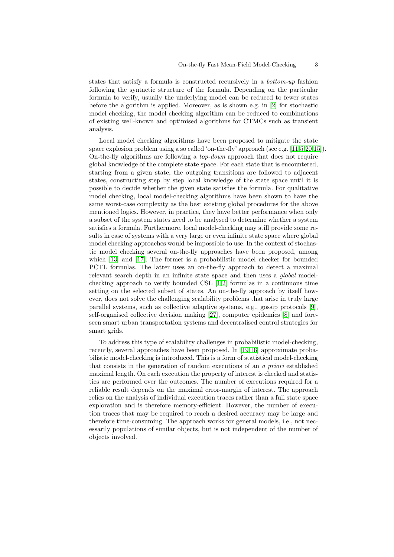states that satisfy a formula is constructed recursively in a bottom-up fashion following the syntactic structure of the formula. Depending on the particular formula to verify, usually the underlying model can be reduced to fewer states before the algorithm is applied. Moreover, as is shown e.g. in [\[2\]](#page-22-4) for stochastic model checking, the model checking algorithm can be reduced to combinations of existing well-known and optimised algorithms for CTMCs such as transient analysis.

Local model checking algorithms have been proposed to mitigate the state space explosion problem using a so called 'on-the-fly' approach (see e.g. [\[11,](#page-22-1)[5,](#page-22-2)[20,](#page-23-5)[15\]](#page-23-6)). On-the-fly algorithms are following a top-down approach that does not require global knowledge of the complete state space. For each state that is encountered, starting from a given state, the outgoing transitions are followed to adjacent states, constructing step by step local knowledge of the state space until it is possible to decide whether the given state satisfies the formula. For qualitative model checking, local model-checking algorithms have been shown to have the same worst-case complexity as the best existing global procedures for the above mentioned logics. However, in practice, they have better performance when only a subset of the system states need to be analysed to determine whether a system satisfies a formula. Furthermore, local model-checking may still provide some results in case of systems with a very large or even infinite state space where global model checking approaches would be impossible to use. In the context of stochastic model checking several on-the-fly approaches have been proposed, among which [\[13\]](#page-22-5) and [\[17\]](#page-23-7). The former is a probabilistic model checker for bounded PCTL formulas. The latter uses an on-the-fly approach to detect a maximal relevant search depth in an infinite state space and then uses a global modelchecking approach to verify bounded CSL [\[1,](#page-22-6)[2\]](#page-22-4) formulas in a continuous time setting on the selected subset of states. An on-the-fly approach by itself however, does not solve the challenging scalability problems that arise in truly large parallel systems, such as collective adaptive systems, e.g., gossip protocols [\[9\]](#page-22-7), self-organised collective decision making [\[27\]](#page-23-8), computer epidemics [\[8\]](#page-22-8) and foreseen smart urban transportation systems and decentralised control strategies for smart grids.

To address this type of scalability challenges in probabilistic model-checking, recently, several approaches have been proposed. In [\[19,](#page-23-9)[16\]](#page-23-10) approximate probabilistic model-checking is introduced. This is a form of statistical model-checking that consists in the generation of random executions of an a priori established maximal length. On each execution the property of interest is checked and statistics are performed over the outcomes. The number of executions required for a reliable result depends on the maximal error-margin of interest. The approach relies on the analysis of individual execution traces rather than a full state space exploration and is therefore memory-efficient. However, the number of execution traces that may be required to reach a desired accuracy may be large and therefore time-consuming. The approach works for general models, i.e., not necessarily populations of similar objects, but is not independent of the number of objects involved.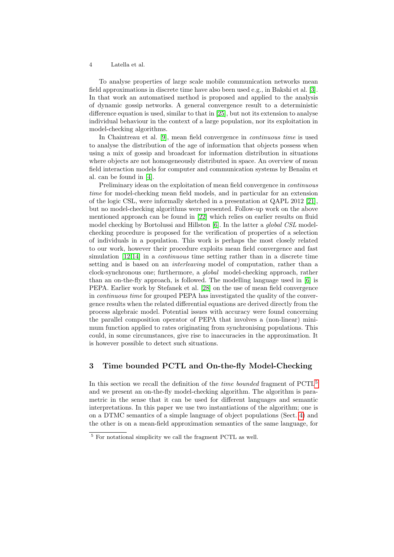To analyse properties of large scale mobile communication networks mean field approximations in discrete time have also been used e.g., in Bakshi et al. [\[3\]](#page-22-9). In that work an automatised method is proposed and applied to the analysis of dynamic gossip networks. A general convergence result to a deterministic difference equation is used, similar to that in [\[25\]](#page-23-0), but not its extension to analyse individual behaviour in the context of a large population, nor its exploitation in model-checking algorithms.

In Chaintreau et al. [\[9\]](#page-22-7), mean field convergence in continuous time is used to analyse the distribution of the age of information that objects possess when using a mix of gossip and broadcast for information distribution in situations where objects are not homogeneously distributed in space. An overview of mean field interaction models for computer and communication systems by Benaïm et al. can be found in [\[4\]](#page-22-10).

Preliminary ideas on the exploitation of mean field convergence in continuous time for model-checking mean field models, and in particular for an extension of the logic CSL, were informally sketched in a presentation at QAPL 2012 [\[21\]](#page-23-2), but no model-checking algorithms were presented. Follow-up work on the above mentioned approach can be found in [\[22\]](#page-23-3) which relies on earlier results on fluid model checking by Bortolussi and Hillston [\[6\]](#page-22-11). In the latter a *global CSL* modelchecking procedure is proposed for the verification of properties of a selection of individuals in a population. This work is perhaps the most closely related to our work, however their procedure exploits mean field convergence and fast simulation [\[12,](#page-22-12)[14\]](#page-23-11) in a *continuous* time setting rather than in a discrete time setting and is based on an *interleaving* model of computation, rather than a clock-synchronous one; furthermore, a global model-checking approach, rather than an on-the-fly approach, is followed. The modelling language used in [\[6\]](#page-22-11) is PEPA. Earlier work by Stefanek et al. [\[28\]](#page-23-12) on the use of mean field convergence in continuous time for grouped PEPA has investigated the quality of the convergence results when the related differential equations are derived directly from the process algebraic model. Potential issues with accuracy were found concerning the parallel composition operator of PEPA that involves a (non-linear) minimum function applied to rates originating from synchronising populations. This could, in some circumstances, give rise to inaccuracies in the approximation. It is however possible to detect such situations.

# 3 Time bounded PCTL and On-the-fly Model-Checking

In this section we recall the definition of the *time bounded* fragment of  $PCTL<sup>5</sup>$  $PCTL<sup>5</sup>$  $PCTL<sup>5</sup>$ and we present an on-the-fly model-checking algorithm. The algorithm is parametric in the sense that it can be used for different languages and semantic interpretations. In this paper we use two instantiations of the algorithm; one is on a DTMC semantics of a simple language of object populations (Sect. [4\)](#page-6-0) and the other is on a mean-field approximation semantics of the same language, for

<span id="page-3-0"></span><sup>5</sup> For notational simplicity we call the fragment PCTL as well.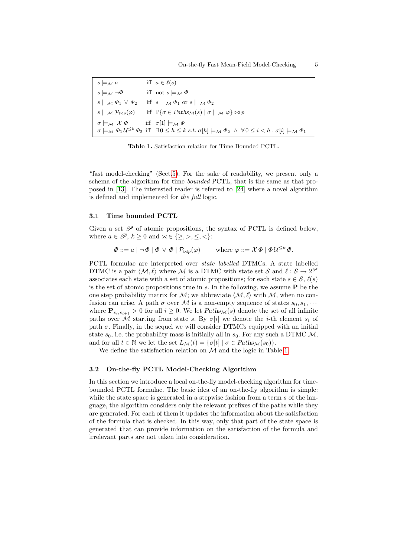| $s \models_{\mathcal{M}} a$                                                                | iff $a \in \ell(s)$                                                                                                                                                                                                                        |
|--------------------------------------------------------------------------------------------|--------------------------------------------------------------------------------------------------------------------------------------------------------------------------------------------------------------------------------------------|
| $s \models_{\mathcal{M}} \neg \Phi$                                                        | iff not $s \models_{\mathcal{M}} \Phi$                                                                                                                                                                                                     |
| $s \models_{\mathcal{M}} \Phi_1 \vee \Phi_2$                                               | iff $s \models_M \Phi_1$ or $s \models_M \Phi_2$                                                                                                                                                                                           |
|                                                                                            | $s \models_{\mathcal{M}} \mathcal{P}_{\bowtie p}(\varphi)$ iff $\mathbb{P}\{\sigma \in \text{Paths}_{\mathcal{M}}(s) \mid \sigma \models_{\mathcal{M}} \varphi\} \bowtie p$                                                                |
| $\sigma \models_{\mathcal{M}} \mathcal{X} \Phi$ iff $\sigma[1] \models_{\mathcal{M}} \Phi$ | $\sigma \models_{\mathcal{M}} \Phi_1 \mathcal{U}^{\leq k} \Phi_2 \text{ iff } \exists 0 \leq h \leq k \text{ s.t. } \sigma[h] \models_{\mathcal{M}} \Phi_2 \ \wedge \ \forall 0 \leq i \lt h \ . \ \sigma[i] \models_{\mathcal{M}} \Phi_1$ |

<span id="page-4-0"></span>Table 1. Satisfaction relation for Time Bounded PCTL.

"fast model-checking" (Sect[.5\)](#page-12-0). For the sake of readability, we present only a schema of the algorithm for time *bounded* PCTL, that is the same as that proposed in [\[13\]](#page-22-5). The interested reader is referred to [\[24\]](#page-23-13) where a novel algorithm is defined and implemented for the full logic.

#### <span id="page-4-1"></span>3.1 Time bounded PCTL

Given a set  $\mathscr P$  of atomic propositions, the syntax of PCTL is defined below, where  $a \in \mathscr{P}, k \geq 0$  and  $\bowtie \in \{\geq, >, \leq, <\}$ :

$$
\Phi ::= a \mid \neg \Phi \mid \Phi \lor \Phi \mid \mathcal{P}_{\bowtie p}(\varphi) \qquad \text{where } \varphi ::= \mathcal{X} \Phi \mid \Phi \mathcal{U}^{\leq k} \Phi.
$$

PCTL formulae are interpreted over state labelled DTMCs. A state labelled DTMC is a pair  $\langle M, \ell \rangle$  where M is a DTMC with state set S and  $\ell : S \to 2^{\mathcal{P}}$ associates each state with a set of atomic propositions; for each state  $s \in \mathcal{S}, \ell(s)$ is the set of atomic propositions true in s. In the following, we assume  $P$  be the one step probability matrix for M; we abbreviate  $\langle M, \ell \rangle$  with M, when no confusion can arise. A path  $\sigma$  over M is a non-empty sequence of states  $s_0, s_1, \cdots$ where  $\mathbf{P}_{s_i,s_{i+1}} > 0$  for all  $i \geq 0$ . We let  $Paths_{\mathcal{M}}(s)$  denote the set of all infinite paths over M starting from state s. By  $\sigma[i]$  we denote the *i*-th element s<sub>i</sub> of path  $\sigma$ . Finally, in the sequel we will consider DTMCs equipped with an initial state  $s_0$ , i.e. the probability mass is initially all in  $s_0$ . For any such a DTMC  $\mathcal{M}$ , and for all  $t \in \mathbb{N}$  we let the set  $L_{\mathcal{M}}(t) = {\sigma[t] | \sigma \in Paths_{\mathcal{M}}(s_0)}$ .

We define the satisfaction relation on M and the logic in Table [1.](#page-4-0)

#### 3.2 On-the-fly PCTL Model-Checking Algorithm

In this section we introduce a local on-the-fly model-checking algorithm for timebounded PCTL formulae. The basic idea of an on-the-fly algorithm is simple: while the state space is generated in a stepwise fashion from a term  $s$  of the language, the algorithm considers only the relevant prefixes of the paths while they are generated. For each of them it updates the information about the satisfaction of the formula that is checked. In this way, only that part of the state space is generated that can provide information on the satisfaction of the formula and irrelevant parts are not taken into consideration.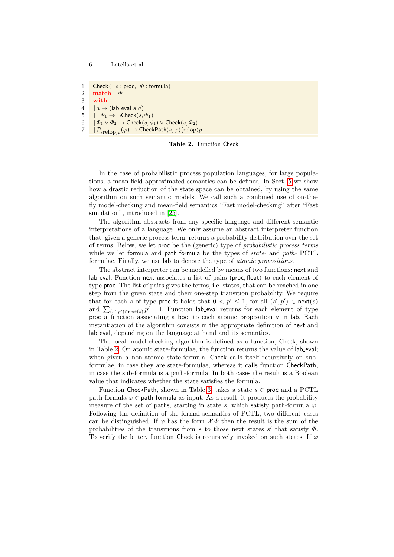1 Check  $(s : \text{proc}, \Phi : \text{formula}) =$ 2 match  $\Phi$ 3 with  $4$  |  $a \rightarrow$  (lab eval s a)  $5 \quad | \neg \Phi_1 \rightarrow \neg \text{Check}(s, \Phi_1)$ 6  $|\Phi_1 \vee \Phi_2 \rightarrow \text{Check}(s, \phi_1) \vee \text{Check}(s, \Phi_2))|$  $7$  ,  $| \mathcal{P}_{\langle \text{relop}\rangle p}(\varphi) \rightarrow \textsf{CheckPath}(s, \varphi) \langle \text{relop}\rangle p$ 

<span id="page-5-0"></span>Table 2. Function Check

In the case of probabilistic process population languages, for large populations, a mean-field approximated semantics can be defined. In Sect. [5](#page-12-0) we show how a drastic reduction of the state space can be obtained, by using the same algorithm on such semantic models. We call such a combined use of on-thefly model-checking and mean-field semantics "Fast model-checking" after "Fast simulation", introduced in [\[25\]](#page-23-0).

The algorithm abstracts from any specific language and different semantic interpretations of a language. We only assume an abstract interpreter function that, given a generic process term, returns a probability distribution over the set of terms. Below, we let proc be the (generic) type of probabilistic process terms while we let formula and path formula be the types of state- and path- PCTL formulae. Finally, we use lab to denote the type of atomic propositions.

The abstract interpreter can be modelled by means of two functions: next and lab eval. Function next associates a list of pairs (proc, float) to each element of type proc. The list of pairs gives the terms, i.e. states, that can be reached in one step from the given state and their one-step transition probability. We require that for each s of type proc it holds that  $0 < p' \leq 1$ , for all  $(s', p') \in \text{next}(s)$ and  $\sum_{(s',p')\in \text{next}(s)} p' = 1$ . Function lab eval returns for each element of type proc a function associating a bool to each atomic proposition  $a$  in lab. Each instantiation of the algorithm consists in the appropriate definition of next and lab eval, depending on the language at hand and its semantics.

The local model-checking algorithm is defined as a function, Check, shown in Table [2.](#page-5-0) On atomic state-formulae, the function returns the value of lab eval; when given a non-atomic state-formula, Check calls itself recursively on subformulae, in case they are state-formulae, whereas it calls function CheckPath, in case the sub-formula is a path-formula. In both cases the result is a Boolean value that indicates whether the state satisfies the formula.

Function CheckPath, shown in Table [3,](#page-6-1) takes a state  $s \in \text{proc}$  and a PCTL path-formula  $\varphi \in$  path-formula as input. As a result, it produces the probability measure of the set of paths, starting in state s, which satisfy path-formula  $\varphi$ . Following the definition of the formal semantics of PCTL, two different cases can be distinguished. If  $\varphi$  has the form  $\mathcal{X}\Phi$  then the result is the sum of the probabilities of the transitions from s to those next states  $s'$  that satisfy  $\Phi$ . To verify the latter, function Check is recursively invoked on such states. If  $\varphi$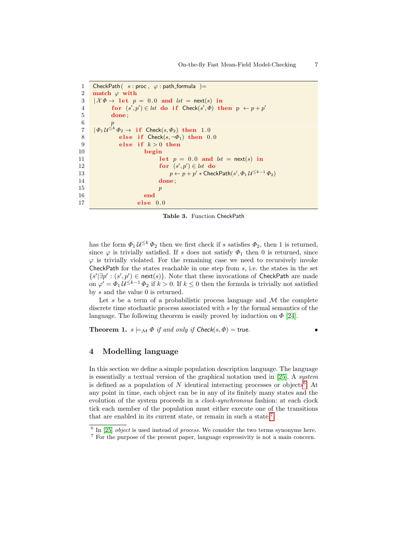```
1 CheckPath( s : \text{proc}, \varphi : \text{path-formula} )=
 2 match \varphi with
 3 \mathcal{X}\Phi \to \text{let } p = 0.0 \text{ and } \text{lst } = \text{next}(s) \text{ in}4 for (s',p') \in \text{lst do if Check}(s', \Phi) \text{ then } p \leftarrow p + p'5 done ;
 6 p
 7 |\varPhi_{1}\mathcal{U}^{\leq k}\varPhi_{2}\rightarrow\text{ if Check}(s,\varPhi_{2})\text{ then }1.08 else if Check(s, \neg \Phi_1) then 0.0
 9 else if k > 0 then
10 begin
11 let p = 0.0 and lst = \text{next}(s) in
12 for (s',p') \in \text{lst } do
13 p \leftarrow p + p' * \textsf{CheckPath}(s', \Phi_1 \mathcal{U}^{\leq k-1} \Phi_2)14 done;
15 p
16 end
17 else 0.0
```
<span id="page-6-4"></span><span id="page-6-1"></span>Table 3. Function CheckPath

has the form  $\Phi_1 \mathcal{U}^{\leq k} \Phi_2$  then we first check if s satisfies  $\Phi_2$ , then 1 is returned, since  $\varphi$  is trivially satisfied. If s does not satisfy  $\Phi_1$  then 0 is returned, since  $\varphi$  is trivially violated. For the remaining case we need to recursively invoke CheckPath for the states reachable in one step from  $s$ , i.e. the states in the set  $\{s' | \exists p' : (s', p') \in \text{next}(s)\}.$  Note that these invocations of CheckPath are made on  $\varphi' = \Phi_1 \mathcal{U}^{\leq k-1} \Phi_2$  if  $k > 0$ . If  $k \leq 0$  then the formula is trivially not satisfied by s and the value 0 is returned.

Let s be a term of a probabilistic process language and  $M$  the complete discrete time stochastic process associated with s by the formal semantics of the language. The following theorem is easily proved by induction on  $\Phi$  [\[24\]](#page-23-13).

**Theorem 1.**  $s \models_M \Phi$  if and only if  $Check(s, \Phi) =$  true.

## <span id="page-6-0"></span>4 Modelling language

In this section we define a simple population description language. The language is essentially a textual version of the graphical notation used in [\[25\]](#page-23-0). A *sustem* is defined as a population of N identical interacting processes or objects<sup>[6](#page-6-2)</sup>. At any point in time, each object can be in any of its finitely many states and the evolution of the system proceeds in a *clock-synchronous* fashion: at each clock tick each member of the population must either execute one of the transitions that are enabled in its current state, or remain in such a state.[7](#page-6-3)

<span id="page-6-2"></span> $6$  In [\[25\]](#page-23-0) *object* is used instead of *process*. We consider the two terms synonyms here.

<span id="page-6-3"></span><sup>7</sup> For the purpose of the present paper, language expressivity is not a main concern.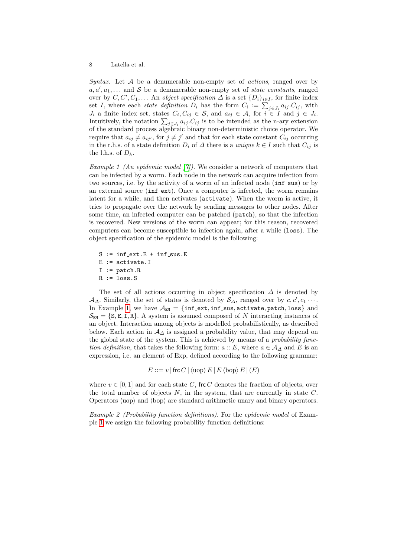Syntax. Let  $A$  be a denumerable non-empty set of *actions*, ranged over by  $a, a', a_1, \ldots$  and S be a denumerable non-empty set of *state constants*, ranged over by  $C, C', C_1, \ldots$  An *object specification*  $\Delta$  is a set  $\{D_i\}_{i \in I}$ , for finite index set *I*, where each state definition  $D_i$  has the form  $C_i := \sum_{j \in J_i} a_{ij} C_{ij}$ , with  $J_i$  a finite index set, states  $C_i, C_{ij} \in \mathcal{S}$ , and  $a_{ij} \in \mathcal{A}$ , for  $i \in I$  and  $j \in J_i$ . Intuitively, the notation  $\sum_{j\in J_i} a_{ij} C_{ij}$  is to be intended as the n-ary extension of the standard process algebraic binary non-deterministic choice operator. We require that  $a_{ij} \neq a_{ij'}$ , for  $j \neq j'$  and that for each state constant  $C_{ij}$  occurring in the r.h.s. of a state definition  $D_i$  of  $\Delta$  there is a unique  $k \in I$  such that  $C_{ij}$  is the l.h.s. of  $D_k$ .

<span id="page-7-0"></span>*Example 1 (An epidemic model [\[7\]](#page-22-0))*. We consider a network of computers that can be infected by a worm. Each node in the network can acquire infection from two sources, i.e. by the activity of a worm of an infected node ( $\inf_{s}$ sus) or by an external source (inf\_ext). Once a computer is infected, the worm remains latent for a while, and then activates (activate). When the worm is active, it tries to propagate over the network by sending messages to other nodes. After some time, an infected computer can be patched (patch), so that the infection is recovered. New versions of the worm can appear; for this reason, recovered computers can become susceptible to infection again, after a while (loss). The object specification of the epidemic model is the following:

 $S := \inf_{x \in S} E + \inf_{x \in S} S$ . E := activate.I  $I := \text{patch}.\,R$  $R :=$  loss.S

The set of all actions occurring in object specification  $\Delta$  is denoted by  $\mathcal{A}_{\Delta}$ . Similarly, the set of states is denoted by  $\mathcal{S}_{\Delta}$ , ranged over by  $c, c', c_1 \cdots$ . In Example [1,](#page-7-0) we have  $A_{EM} = \{inf\_ext, inf\_sus, activate, patch, loss\}$  and  $\mathcal{S}_{EM} = \{S, E, I, R\}$ . A system is assumed composed of N interacting instances of an object. Interaction among objects is modelled probabilistically, as described below. Each action in  $\mathcal{A}_{\Delta}$  is assigned a probability value, that may depend on the global state of the system. This is achieved by means of a *probability func*tion definition, that takes the following form:  $a :: E$ , where  $a \in A_{\Delta}$  and E is an expression, i.e. an element of Exp, defined according to the following grammar:

 $E ::= v |$  frc  $C | \langle \text{uop} \rangle E | E | \langle \text{bop} \rangle E | (E)$ 

where  $v \in [0, 1]$  and for each state C, frc C denotes the fraction of objects, over the total number of objects  $N$ , in the system, that are currently in state  $C$ . Operators  $\langle \text{uop} \rangle$  and  $\langle \text{bop} \rangle$  are standard arithmetic unary and binary operators.

Example 2 (Probability function definitions). For the epidemic model of Example [1](#page-7-0) we assign the following probability function definitions: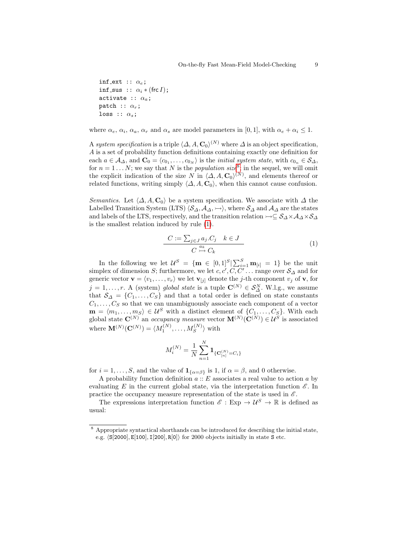```
inf ext :: \alpha_e;
inf_sus :: \alpha_i * (frcI);
activate :: \alpha_a;
patch :: \alpha_r;
loss :: \alpha_s;
```
where  $\alpha_e$ ,  $\alpha_i$ ,  $\alpha_a$ ,  $\alpha_r$  and  $\alpha_s$  are model parameters in [0, 1], with  $\alpha_e + \alpha_i \leq 1$ .

A system specification is a triple  $\langle \Delta, A, \mathbf{C}_0 \rangle^{(N)}$  where  $\Delta$  is an object specification, A is a set of probability function definitions containing exactly one definition for each  $a \in A_{\Delta}$ , and  $\mathbf{C}_0 = \langle c_{0_1}, \ldots, c_{0_N} \rangle$  is the *initial system state*, with  $c_{0_n} \in S_{\Delta}$ , for  $n = 1...N$ ; we say that N is the *population size*<sup>[8](#page-8-0)</sup>; in the sequel, we will omit the explicit indication of the size N in  $\langle \Delta, A, C_0 \rangle^{(N)}$ , and elements thereof or related functions, writing simply  $\langle \Delta, A, C_0 \rangle$ , when this cannot cause confusion.

Semantics. Let  $\langle \Delta, A, C_0 \rangle$  be a system specification. We associate with  $\Delta$  the Labelled Transition System (LTS)  $\langle S_{\Delta}, A_{\Delta}, \rightarrow \rangle$ , where  $S_{\Delta}$  and  $A_{\Delta}$  are the states and labels of the LTS, respectively, and the transition relation  $\rightarrow \subseteq S_{\Delta} \times A_{\Delta} \times S_{\Delta}$ is the smallest relation induced by rule [\(1\)](#page-8-1).

<span id="page-8-1"></span>
$$
\frac{C := \sum_{j \in J} a_j.C_j \quad k \in J}{C \stackrel{a_k}{\rightarrow} C_k} \tag{1}
$$

In the following we let  $\mathcal{U}^S = \{ \mathbf{m} \in [0,1]^S | \sum_{i=1}^S \mathbf{m}_{[i]} = 1 \}$  be the unit simplex of dimension S; furthermore, we let  $c, c', C, C' \dots$  range over  $S_{\Delta}$  and for generic vector  $\mathbf{v} = \langle v_1, \ldots, v_r \rangle$  we let  $\mathbf{v}_{[j]}$  denote the j-th component  $v_j$  of  $\mathbf{v}$ , for  $j = 1, \ldots, r$ . A (system) global state is a tuple  $\mathbf{C}^{(N)} \in \mathcal{S}_{\Delta}^{N}$ . W.l.g., we assume that  $\mathcal{S}_{\Delta} = \{C_1, \ldots, C_S\}$  and that a total order is defined on state constants  $C_1, \ldots, C_S$  so that we can unambiguously associate each component of a vector  $\mathbf{m} = \langle m_1, \ldots, m_S \rangle \in \mathcal{U}^S$  with a distinct element of  $\{C_1, \ldots, C_S\}$ . With each global state  $\mathbf{C}^{(N)}$  an *occupancy measure* vector  $\mathbf{M}^{(N)}(\mathbf{C}^{(N)}) \in \mathcal{U}^S$  is associated where  $\mathbf{M}^{(N)}(\mathbf{C}^{(N)}) = \langle M_1^{(N)}, \ldots, M_S^{(N)} \rangle$  with

$$
M_i^{(N)} = \frac{1}{N}\sum_{n=1}^N \mathbf{1}_{\{\mathbf{C}_{[n]}^{(N)}=C_i\}}
$$

for  $i = 1, \ldots, S$ , and the value of  $\mathbf{1}_{\{\alpha = \beta\}}$  is 1, if  $\alpha = \beta$ , and 0 otherwise.

A probability function definition  $a :: E$  associates a real value to action a by evaluating E in the current global state, via the interpretation function  $\mathscr{E}$ . In practice the occupancy measure representation of the state is used in  $\mathscr{E}$ .

The expressions interpretation function  $\mathscr{E}: \text{Exp} \to \mathcal{U}^S \to \mathbb{R}$  is defined as usual:

<span id="page-8-0"></span><sup>8</sup> Appropriate syntactical shorthands can be introduced for describing the initial state, e.g.  $\langle S[2000], E[100], I[200], R[0]\rangle$  for 2000 objects initially in state S etc.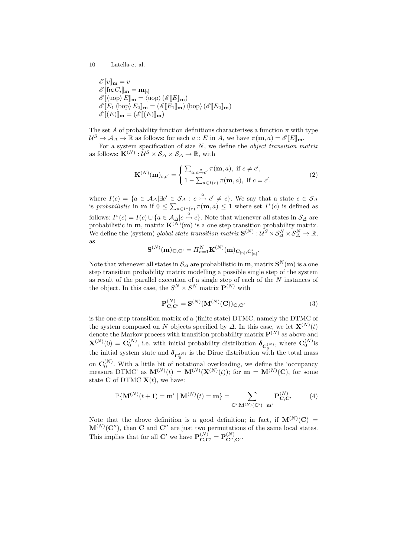$$
\mathcal{E}[\![v]\!]_{\mathbf{m}} = v
$$
  
\n
$$
\mathcal{E}[\![\text{frc}\,C_i]\!]_{\mathbf{m}} = \mathbf{m}_{[i]}
$$
  
\n
$$
\mathcal{E}[\![\langle \text{uop} \rangle E]\!]_{\mathbf{m}} = \langle \text{uop} \rangle \left(\mathcal{E}[\![E]\!]_{\mathbf{m}}\right)
$$
  
\n
$$
\mathcal{E}[\![E_1 \langle \text{bop} \rangle E_2]\!]_{\mathbf{m}} = \left(\mathcal{E}[\![E_1]\!]_{\mathbf{m}}\right) \langle \text{bop} \rangle \left(\mathcal{E}[\![E_2]\!]_{\mathbf{m}}\right)
$$
  
\n
$$
\mathcal{E}[\![(E)]\!]_{\mathbf{m}} = \left(\mathcal{E}[\![(E)]\!]_{\mathbf{m}}\right)
$$

The set A of probability function definitions characterises a function  $\pi$  with type  $\mathcal{U}^S \to \mathcal{A}_{\Delta} \to \mathbb{R}$  as follows: for each  $a :: E$  in  $A$ , we have  $\pi(\mathbf{m}, a) = \mathscr{E}[[E]_{\mathbf{m}}]$ .

For a system specification of size  $N$ , we define the *object transition matrix* as follows:  $\mathbf{K}^{(N)}$  :  $\mathcal{U}^S \times \mathcal{S}_{\Delta} \times \mathcal{S}_{\Delta} \to \mathbb{R}$ , with

$$
\mathbf{K}^{(N)}(\mathbf{m})_{c,c'} = \begin{cases} \sum_{a:c \xrightarrow{a}c'} \pi(\mathbf{m},a), \text{ if } c \neq c',\\ 1 - \sum_{a \in I(c)} \pi(\mathbf{m},a), \text{ if } c = c'. \end{cases}
$$
(2)

where  $I(c) = \{a \in \mathcal{A}_{\Delta} | \exists c' \in \mathcal{S}_{\Delta} : c \stackrel{a}{\rightarrowtail} c' \neq c\}$ . We say that a state  $c \in \mathcal{S}_{\Delta}$ is probabilistic in **m** if  $0 \leq \sum_{a \in I^*(c)} \pi(m, a) \leq 1$  where set  $I^*(c)$  is defined as follows:  $I^*(c) = I(c) \cup \{a \in A_{\Delta} | c \stackrel{a}{\rightarrow} c\}$ . Note that whenever all states in  $S_{\Delta}$  are probabilistic in **m**, matrix  $\mathbf{K}^{(N)}(\mathbf{m})$  is a one step transition probability matrix. We define the (system) global state transition matrix  $S^{(N)}$  :  $\overline{\mathcal{U}}^S \times S^N_{\Delta} \times S^N_{\Delta} \to \mathbb{R}$ , as

$$
\mathbf{S}^{(N)}(\mathbf{m})_{\mathbf{C},\mathbf{C}'} = \boldsymbol{\varPi}_{n=1}^N \mathbf{K}^{(N)}(\mathbf{m})_{\mathbf{C}_{[n]},\mathbf{C}'_{[n]}}.
$$

Note that whenever all states in  $\mathcal{S}_\varDelta$  are probabilistic in  $\mathbf{m}$ , matrix  $\mathbf{S}^N(\mathbf{m})$  is a one step transition probability matrix modelling a possible single step of the system as result of the parallel execution of a single step of each of the  $N$  instances of the object. In this case, the  $S^N \times S^N$  matrix  $\mathbf{P}^{(N)}$  with

$$
\mathbf{P}_{\mathbf{C},\mathbf{C}'}^{(N)} = \mathbf{S}^{(N)}(\mathbf{M}^{(N)}(\mathbf{C}))_{\mathbf{C},\mathbf{C}'} \tag{3}
$$

is the one-step transition matrix of a (finite state) DTMC, namely the DTMC of the system composed on N objects specified by  $\Delta$ . In this case, we let  $\mathbf{X}^{(N)}(t)$ denote the Markov process with transition probability matrix  $\mathbf{P}^{(N)}$  as above and  $\mathbf{X}^{(N)}(0) = \mathbf{C}_0^{(N)}$ , i.e. with initial probability distribution  $\boldsymbol{\delta}_{\mathbf{C}_0^{(N)}}$ , where  $\mathbf{C}_0^{(N)}$  is the initial system state and  $\delta_{\mathbf{C}_0^{(N)}}$  is the Dirac distribution with the total mass on  $\mathbf{C}_0^{(N)}$ . With a little bit of notational overloading, we define the 'occupancy measure DTMC' as  $\mathbf{M}^{(N)}(t) = \mathbf{M}^{(N)}(\mathbf{X}^{(N)}(t));$  for  $\mathbf{m} = \mathbf{M}^{(N)}(\mathbf{C})$ , for some state **C** of DTMC  $X(t)$ , we have:

<span id="page-9-0"></span>
$$
\mathbb{P}\{\mathbf{M}^{(N)}(t+1) = \mathbf{m}' \mid \mathbf{M}^{(N)}(t) = \mathbf{m}\} = \sum_{\mathbf{C}': \mathbf{M}^{(N)}(\mathbf{C}') = \mathbf{m}'} \mathbf{P}_{\mathbf{C}, \mathbf{C}'}^{(N)} \tag{4}
$$

Note that the above definition is a good definition; in fact, if  $\mathbf{M}^{(N)}(\mathbf{C}) =$  $M^{(N)}(\mathbf{C}^{\prime\prime})$ , then C and C'' are just two permutations of the same local states. This implies that for all C' we have  $\mathbf{P}^{(N)}_{\mathbf{C},\mathbf{C}'} = \mathbf{P}^{(N)}_{\mathbf{C}'',\mathbf{C}'}$ .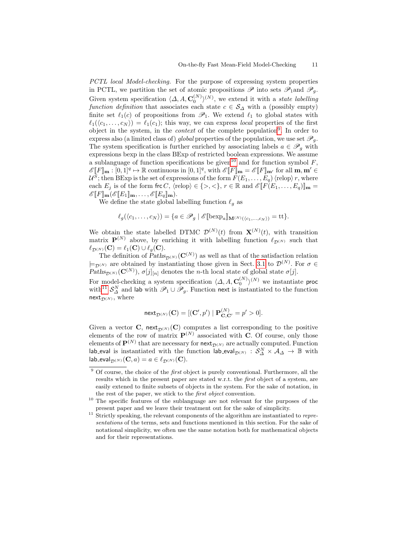PCTL local Model-checking. For the purpose of expressing system properties in PCTL, we partition the set of atomic propositions  $\mathscr P$  into sets  $\mathscr P_1$  and  $\mathscr P_q$ . Given system specification  $\langle \Delta, A, \mathbf{C}_0^{(N)} \rangle^{(N)}$ , we extend it with a state labelling function definition that associates each state  $c \in S_\Delta$  with a (possibly empty) finite set  $\ell_1(c)$  of propositions from  $\mathscr{P}_1$ . We extend  $\ell_1$  to global states with  $\ell_1(\langle c_1, \ldots, c_N \rangle) = \ell_1(c_1)$ ; this way, we can express local properties of the first object in the system, in the *context* of the complete population<sup>[9](#page-10-0)</sup>. In order to express also (a limited class of) global properties of the population, we use set  $\mathscr{P}_a$ . The system specification is further enriched by associating labels  $a \in \mathscr{P}_q$  with expressions bexp in the class BExp of restricted boolean expressions. We assume a sublanguage of function specifications be given<sup>[10](#page-10-1)</sup> and for function symbol  $F$ ,  $\mathscr{E}\llbracket F \rrbracket_{\mathbf{m}} : [0,1]^q \mapsto \mathbb{R}$  continuous in  $[0,1]^q$ , with  $\mathscr{E}\llbracket F \rrbracket_{\mathbf{m}} = \mathscr{E}\llbracket F \rrbracket_{\mathbf{m'}}$  for all  $\mathbf{m}, \mathbf{m'} \in$  $\mathcal{U}^S;$  then BExp is the set of expressions of the form  $F(E_1, \ldots, E_q)\langle \mathrm{relop} \rangle r$ , where each  $E_j$  is of the form frc C,  $\langle \text{relop} \rangle \in \{>, <\}, r \in \mathbb{R}$  and  $\mathscr{E}[[F(E_1, \ldots, E_q)]]_{\mathbf{m}} =$  $\mathscr{E}[\![F]\!]_{\mathbf{m}}(\mathscr{E}[\![E_1]\!]_{\mathbf{m}},\ldots,\mathscr{E}[\![E_q]\!]_{\mathbf{m}}).$ 

We define the state global labelling function  $\ell_q$  as

$$
\ell_g(\langle c_1,\ldots,c_N\rangle)=\{a\in\mathscr{P}_g\mid \mathscr{E}[\mathsf{bexp}_a]_{\mathbf{M}^{(N)}(\langle c_1,\ldots,c_N\rangle)}=\mathsf{tt}\}.
$$

We obtain the state labelled DTMC  $\mathcal{D}^{(N)}(t)$  from  $\mathbf{X}^{(N)}(t)$ , with transition matrix  $\mathbf{P}^{(N)}$  above, by enriching it with labelling function  $\ell_{\mathcal{D}^{(N)}}$  such that  $\ell_{\mathcal{D}^{(N)}}(\mathbf{C}) = \ell_1(\mathbf{C}) \cup \ell_q(\mathbf{C}).$ 

The definition of  $Paths_{\mathcal{D}^{(N)}}(\mathbf{C}^{(N)})$  as well as that of the satisfaction relation  $\models_{\mathcal{D}^{(N)}}$  are obtained by instantiating those given in Sect. [3.1](#page-4-1) to  $\mathcal{D}^{(N)}$ . For  $\sigma \in$  $Paths_{\mathcal{D}^{(N)}}(\mathbf{C}^{(N)}), \sigma[j]_{[n]}$  denotes the *n*-th local state of global state  $\sigma[j]$ .

For model-checking a system specification  $\langle \Delta, A, \mathbf{C}_0^{(N)} \rangle^{(N)}$  we instantiate proc with<sup>[11](#page-10-2)</sup>  $S^N_\Delta$  and lab with  $\mathscr{P}_1 \cup \mathscr{P}_g$ . Function next is instantiated to the function next $_{\mathcal{D}(N)}$ , where

$$
\operatorname{next}_{\mathcal{D}^{(N)}}(\mathbf{C}) = [(\mathbf{C}', p') \mid \mathbf{P}_{\mathbf{C}, \mathbf{C}'}^{(N)} = p' > 0].
$$

Given a vector **C**, next<sub> $\mathcal{D}^{(N)}$ </sub> (**C**) computes a list corresponding to the positive elements of the row of matrix  $\mathbf{P}^{(N)}$  associated with C. Of course, only those elements of  $\mathbf{P}^{(N)}$  that are necessary for  $\mathsf{next}_{\mathcal{D}^{(N)}}$  are actually computed. Function lab eval is instantiated with the function  $\textsf{lab\_eval}_{\mathcal{D}^{(N)}} : \mathcal{S}_{\Delta}^N \times \mathcal{A}_{\Delta} \to \mathbb{B}$  with  $\textsf{lab\_eval}_{\mathcal{D}^{(N)}}(\mathbf{C}, a) = a \in \ell_{\mathcal{D}^{(N)}}(\mathbf{C}).$ 

<span id="page-10-3"></span><span id="page-10-0"></span> $9$  Of course, the choice of the *first* object is purely conventional. Furthermore, all the results which in the present paper are stated w.r.t. the first object of a system, are easily extened to finite subsets of objects in the system. For the sake of notation, in the rest of the paper, we stick to the first object convention.

<span id="page-10-1"></span><sup>&</sup>lt;sup>10</sup> The specific features of the sublanguage are not relevant for the purposes of the present paper and we leave their treatment out for the sake of simplicity.

<span id="page-10-2"></span> $11$  Strictly speaking, the relevant components of the algorithm are instantiated to representations of the terms, sets and functions mentioned in this section. For the sake of notational simplicity, we often use the same notation both for mathematical objects and for their representations.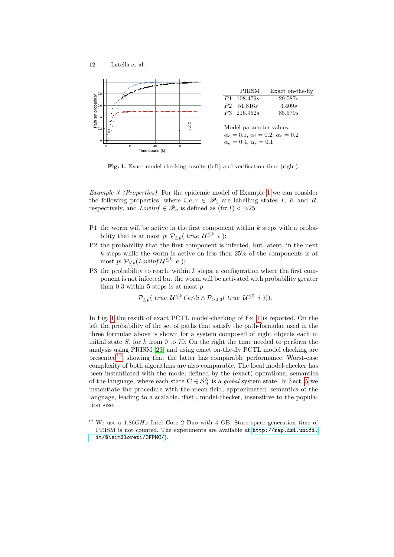



<span id="page-11-0"></span>Fig. 1. Exact model-checking results (left) and verification time (right).

Example 3 (Properties). For the epidemic model of Example [1](#page-7-0) we can consider the following properties, where  $i, e, r \in \mathscr{P}_1$  are labelling states I, E and R, respectively, and  $LowInf \in \mathscr{P}_q$  is defined as (frc I) < 0.25:

- P1 the worm will be active in the first component within  $k$  steps with a probability that is at most p:  $\mathcal{P}_{\leq p}(\text{ true } \mathcal{U}^{\leq k} \mid i)$ ;
- P2 the probability that the first component is infected, but latent, in the next  $k$  steps while the worm is active on less then 25% of the components is at most p:  $\mathcal{P}_{\leq p}(LowInf \, \mathcal{U}^{\leq k} \, e);$
- P3 the probability to reach, within  $k$  steps, a configuration where the first component is not infected but the worm will be activated with probability greater than 0.3 within 5 steps is at most  $p$ .

 $\mathcal{P}_{\leq p}(\text{ true } \mathcal{U}^{\leq k}(\text{!} e \wedge ! \text{!} i \wedge \mathcal{P}_{>0.3}(\text{ true } \mathcal{U}^{\leq 5} \text{ } i \text{ )})).$ 

In Fig. [1](#page-11-0) the result of exact PCTL model-checking of Ex. [1](#page-7-0) is reported. On the left the probability of the set of paths that satisfy the path-formulae used in the three formulae above is shown for a system composed of eight objects each in initial state  $S$ , for k from 0 to 70. On the right the time needed to perform the analysis using PRISM [\[23\]](#page-23-4) and using exact on-the-fly PCTL model checking are  $p$ resented<sup>[12](#page-11-1)</sup>, showing that the latter has comparable performance. Worst-case complexity of both algorithms are also comparable. The local model-checker has been instantiated with the model defined by the (exact) operational semantics of the language, where each state  $\mathbf{C} \in \mathcal{S}_{\Delta}^N$  is a *global* system state. In Sect. [5](#page-12-0) we instantiate the procedure with the mean-field, approximated, semantics of the language, leading to a scalable, 'fast', model-checker, insensitive to the population size.

<span id="page-11-1"></span><sup>&</sup>lt;sup>12</sup> We use a 1.86*GHz* Intel Core 2 Duo with 4 GB. State space generation time of PRISM is not counted. The experiments are available at [http://rap.dsi.unifi.](http://rap.dsi.unifi.it/$\sim $loreti/OFPMC/) [it/\\$\sim\\$loreti/OFPMC/](http://rap.dsi.unifi.it/$\sim $loreti/OFPMC/)).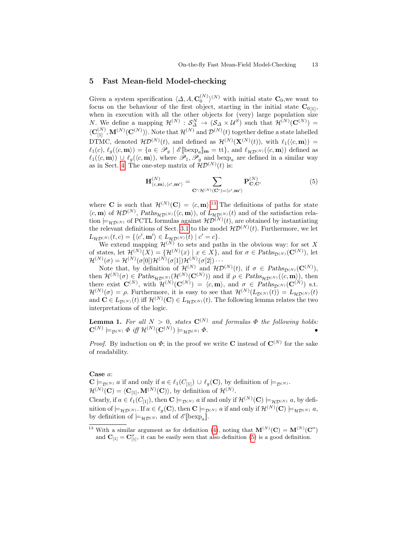#### <span id="page-12-0"></span>5 Fast Mean-field Model-checking

Given a system specification  $\langle \Delta, A, C_0^{(N)} \rangle^{(N)}$  with initial state  $C_0$ , we want to focus on the behaviour of the first object, starting in the initial state  $C_{0[1]}$ , when in execution with all the other objects for (very) large population size N. We define a mapping  $\mathcal{H}^{(N)}$  :  $\mathcal{S}_{\Delta}^{N} \to (\mathcal{S}_{\Delta} \times \mathcal{U}^{S})$  such that  $\mathcal{H}^{(N)}(\mathbf{C}^{(N)}) =$  $\langle C_{[1]}^{(N)},\mathbf{M}^{(N)}(C^{(N)})\rangle$ . Note that  $\mathcal{H}^{(N)}$  and  $\mathcal{D}^{(N)}(t)$  together define a state labelled DTMC, denoted  $\mathcal{HD}^{(N)}(t)$ , and defined as  $\mathcal{H}^{(N)}(\mathbf{X}^{(N)}(t))$ , with  $\ell_1(\langle c, \mathbf{m} \rangle) =$  $\ell_1(c), \ell_g(\langle c, m \rangle) = \{a \in \mathscr{P}_g \mid \mathscr{E}[\text{bexp}_a]_{\mathbf{m}} = \text{tt}\}, \text{ and } \ell_{\mathcal{HD}^{(N)}}(\langle c, m \rangle) \text{ defined as }$  $\ell_1(\langle c, m \rangle) \cup \ell_g(\langle c, m \rangle)$ , where  $\mathscr{P}_1, \mathscr{P}_g$  and bexp<sub>a</sub> are defined in a similar way as in Sect. [4.](#page-6-0) The one-step matrix of  $\mathcal{HD}^{(N)}(t)$  is:

<span id="page-12-2"></span>
$$
\mathbf{H}_{\langle c,\mathbf{m}\rangle,\langle c',\mathbf{m}'\rangle}^{(N)} = \sum_{\mathbf{C}':\mathcal{H}^{(N)}(\mathbf{C}')=\langle c',\mathbf{m}'\rangle} \mathbf{P}_{\mathbf{C},\mathbf{C}'}^{(N)} \tag{5}
$$

where **C** is such that  $\mathcal{H}^{(N)}(\mathbf{C}) = \langle c, \mathbf{m} \rangle$ .<sup>[13](#page-12-1)</sup> The definitions of paths for state  $\langle c, \mathbf{m} \rangle$  of  $\mathcal{HD}^{(N)}$ ,  $Paths_{\mathcal{HD}^{(N)}}(\langle c, \mathbf{m} \rangle)$ , of  $L_{\mathcal{HD}^{(N)}}(t)$  and of the satisfaction relation  $\models_{\mathcal{HD}^{(N)}}$  of PCTL formulas against  $\mathcal{HD}^{(N)}(t)$ , are obtained by instantiating the relevant definitions of Sect. [3.1](#page-4-1) to the model  $\mathcal{HD}^{(N)}(t)$ . Furthermore, we let  $L_{\mathcal{HD}^{(N)}}(t,c) = \{ \langle c', \mathbf{m}' \rangle \in L_{\mathcal{HD}^{(N)}}(t) \mid c' = c \}.$ 

We extend mapping  $\mathcal{H}^{(N)}$  to sets and paths in the obvious way: for set X of states, let  $\mathcal{H}^{(N)}(X) = \{ \mathcal{H}^{(N)}(x) \mid x \in X \}$ , and for  $\sigma \in \text{Paths}_{\mathcal{D}^{(N)}}(\mathbf{C}^{(N)})$ , let  $\mathcal{H}^{(N)}(\sigma)=\mathcal{H}^{(N)}(\sigma[0])\mathcal{H}^{(N)}(\sigma[1])\mathcal{H}^{(N)}(\sigma[2])\cdots$ 

Note that, by definition of  $\mathcal{H}^{(N)}$  and  $\mathcal{HD}^{(N)}(t)$ , if  $\sigma \in \text{Paths}_{\mathcal{D}^{(N)}}(\mathbf{C}^{(N)}),$ then  $\mathcal{H}^{(N)}(\sigma) \in \text{Paths}_{\mathcal{HD}(N)}(\mathcal{H}^{(N)}(\mathbf{C}^{(N)}))$  and if  $\rho \in \text{Paths}_{\mathcal{HD}(N)}(\langle c, \mathbf{m} \rangle)$ , then there exist  $\mathbf{C}^{(N)}$ , with  $\mathcal{H}^{(N)}(\mathbf{C}^{(N)}) = \langle c, \mathbf{m} \rangle$ , and  $\sigma \in \text{Paths}_{\mathcal{D}^{(N)}}(\mathbf{C}^{(N)})$  s.t.  $\mathcal{H}^{(N)}(\sigma) = \rho$ . Furthermore, it is easy to see that  $\mathcal{H}^{(N)}(L_{\mathcal{D}^{(N)}}(t)) = L_{\mathcal{HD}^{(N)}}(t)$ and  $\mathbf{C} \in L_{\mathcal{D}^{(N)}}(t)$  iff  $\mathcal{H}^{(N)}(\mathbf{C}) \in L_{\mathcal{HD}^{(N)}}(t)$ . The following lemma relates the two interpretations of the logic.

<span id="page-12-3"></span>**Lemma 1.** For all  $N > 0$ , states  $C^{(N)}$  and formulas  $\Phi$  the following holds:  $\mathbf{C}^{(N)} \models_{\mathcal{D}^{(N)}} \Phi \text{ iff } \mathcal{H}^{(N)}(\mathbf{C}^{(N)}) \models_{\mathcal{HD}^{(N)}} \Phi.$ 

*Proof.* By induction on  $\Phi$ ; in the proof we write **C** instead of  $\mathbf{C}^{(N)}$  for the sake of readability.

#### Case a:

 $\mathbf{C} \models_{\mathcal{D}^{(N)}} a$  if and only if  $a \in \ell_1(C_{[1]}) \cup \ell_q(\mathbf{C})$ , by definition of  $\models_{\mathcal{D}^{(N)}}$ .  $\mathcal{H}^{(N)}(\mathbf{C}) = \langle \mathbf{C}_{[1]}, \mathbf{M}^{(N)}(\mathbf{C}) \rangle$ , by definition of  $\mathcal{H}^{(N)}$ . Clearly, if  $a \in \ell_1(C_{[1]})$ , then  $\mathbf{C} \models_{\mathcal{D}^{(N)}} a$  if and only if  $\mathcal{H}^{(N)}(\mathbf{C}) \models_{\mathcal{HD}^{(N)}} a$ , by definition of  $\models_{\mathcal{HD}^{(N)}}$ . If  $a\in\ell_g(\mathbf{C})$ , then  $\mathbf{C}\models_{\mathcal{D}^{(N)}}a$  if and only if  $\mathcal{H}^{(N)}(\mathbf{C})\models_{\mathcal{HD}^{(N)}}a$ , by definition of  $\models_{\mathcal{HD}^{(N)}}$  and of  $\mathscr{E}[\text{bexp}_a]$ .

<span id="page-12-1"></span><sup>&</sup>lt;sup>13</sup> With a similar argument as for definition [\(4\)](#page-9-0), noting that  $\mathbf{M}^{(N)}(\mathbf{C}) = \mathbf{M}^{(N)}(\mathbf{C}'')$ and  $\mathbf{C}_{[1]} = \mathbf{C}_{[1]}''$ , it can be easily seen that also definition [\(5\)](#page-12-2) is a good definition.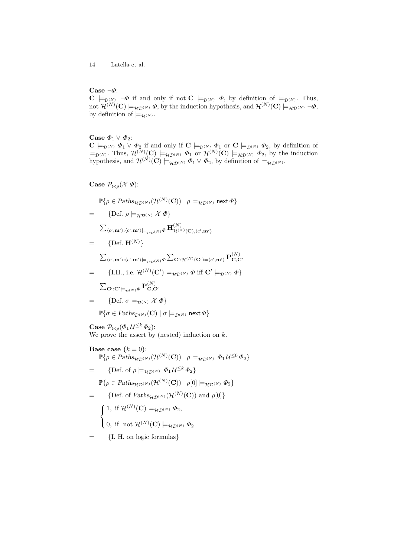## Case ¬Φ:

 $C \models_{\mathcal{D}^{(N)}} \neg \Phi$  if and only if not  $C \models_{\mathcal{D}^{(N)}} \Phi$ , by definition of  $\models_{\mathcal{D}^{(N)}}$ . Thus, not  $\mathcal{H}^{(N)}(\mathbf{C}) \models_{\mathcal{HD}^{(N)}} \Phi$ , by the induction hypothesis, and  $\mathcal{H}^{(N)}(\mathbf{C}) \models_{\mathcal{HD}^{(N)}} \neg \Phi$ , by definition of  $\models_{\mathcal{H}^{(N)}}$ .

Case  $\varPhi_1 \vee \varPhi_2$  :

 $\mathbf{C} \models_{\mathcal{D}^{(N)}} \Phi_1 \vee \Phi_2$  if and only if  $\mathbf{C} \models_{\mathcal{D}^{(N)}} \Phi_1$  or  $\mathbf{C} \models_{\mathcal{D}^{(N)}} \Phi_2$ , by definition of  $\models_{\mathcal{D}^{(N)}}$ . Thus,  $\mathcal{H}^{(N)}(\mathbf{C}) \models_{\mathcal{HD}^{(N)}} \Phi_1$  or  $\mathcal{H}^{(N)}(\mathbf{C}) \models_{\mathcal{HD}^{(N)}} \Phi_2$ , by the induction hypothesis, and  $\mathcal{H}^{(N)}(\mathbf{C}) \models_{\mathcal{HD}^{(N)}} \Phi_1 \vee \Phi_2$ , by definition of  $\models_{\mathcal{HD}^{(N)}}$ .

Case  $\mathcal{P}_{\bowtie p}(\mathcal{X} \Phi)$ :

$$
\mathbb{P}\{\rho\in\mathit{Paths}_{\mathcal{HD}^{(N)}}(\mathcal{H}^{(N)}(\mathbf{C}))\mid\rho\models_{\mathcal{HD}^{(N)}}\mathsf{next}\,\varPhi\}
$$

$$
= \{ \text{Def. } \rho \models_{\mathcal{HD}^{(N)}} \mathcal{X} \varPhi \}
$$

P hc 0 ,m0i:hc 0 ,m0i|=HD(N)<sup>Φ</sup> <sup>H</sup> (N) H(N)(C),hc 0 ,m0i

$$
= \{ \text{Def. } \mathbf{H}^{(N)} \}
$$

 $\sum_{\langle c', {\bf m}' \rangle : \langle c', {\bf m}' \rangle \models_{\mathcal{HD}(N)} \Phi} \sum_{{\bf C}': {\cal H}^{(N)}({\bf C}') = \langle c', {\bf m}' \rangle} \mathbf{P}^{(N)}_{{\bf C},{\bf C}'}$ 

$$
= \{ \text{I.H., i.e. } \mathcal{H}^{(N)}(\mathbf{C}') \models_{\mathcal{HD}^{(N)}} \Phi \text{ iff } \mathbf{C}' \models_{\mathcal{D}^{(N)}} \Phi \}
$$

$$
\sum_{\mathbf{C}': \mathbf{C}' \models_{\mathcal{D}^{(N)}} \Phi} \mathbf{P}^{(N)}_{\mathbf{C},\mathbf{C}'}
$$

$$
= \qquad \{\text{Def. } \sigma \models_{\mathcal{D}^{(N)}} \mathcal{X} \varPhi\}
$$

$$
\mathbb{P}\{\sigma \in \mathit{Paths}_{\mathcal{D}^{(N)}}(\mathbf{C}) \mid \sigma \models_{\mathcal{D}^{(N)}} \mathsf{next} \, \varPhi\}
$$

 $\textbf{Case} \ \mathcal{P}_{\bowtie p}(\varPhi_1 \, \mathcal{U}^{\leq k} \, \varPhi_2) \textbf{:}$ We prove the assert by (nested) induction on  $k$ .

Base case  $(k = 0)$ :  $\mathbb{P}\{\rho \in \text{Paths}_{\mathcal{HD}(N)}(\mathcal{H}^{(N)}(\mathbf{C})) \mid \rho \models_{\mathcal{HD}(N)} \Phi_1 \mathcal{U}^{\leq 0} \Phi_2\}$ = {Def. of  $\rho \models_{\mathcal{HD}^{(N)}} \Phi_1 \mathcal{U}^{\leq k} \Phi_2$ }  $\mathbb{P}\{\rho \in \mathit{Paths}_{\mathcal{HD}^{(N)}}(\mathcal{H}^{(N)}(\mathbf{C})) \mid \rho[0] \models_{\mathcal{HD}^{(N)}} \Phi_2\}$ = {Def. of  $Paths_{\mathcal{HD}^{(N)}}(\mathcal{H}^{(N)}(\mathbf{C}))$  and  $\rho[0]$ }  $\sqrt{ }$  $\frac{1}{2}$  $\mathcal{L}$ 1, if  $\mathcal{H}^{(N)}(\mathbf{C}) \models_{\mathcal{HD}^{(N)}} \Phi_2$ , 0, if not  $\mathcal{H}^{(N)}(\mathbf{C}) \models_{\mathcal{HD}^{(N)}} \Phi_2$ = {I. H. on logic formulas}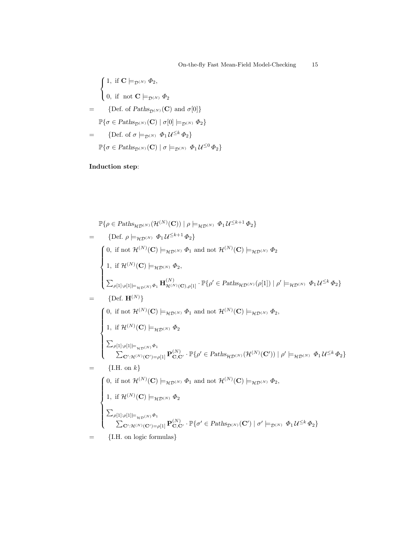$$
\left\{ \begin{aligned} &1, \text{ if } \mathbf{C} \models_{\mathcal{D}^{(N)}} \Phi_2, \\ &0, \text{ if } \text{ not } \mathbf{C} \models_{\mathcal{D}^{(N)}} \Phi_2 \\ & = \{ \text{Def. of } \text{Paths}_{\mathcal{D}^{(N)}}(\mathbf{C}) \text{ and } \sigma[0] \} \\ &\mathbb{P}\{ \sigma \in \text{Paths}_{\mathcal{D}^{(N)}}(\mathbf{C}) \mid \sigma[0] \models_{\mathcal{D}^{(N)}} \Phi_2 \} \\ & = \{ \text{Def. of } \sigma \models_{\mathcal{D}^{(N)}} \Phi_1 \mathcal{U}^{\leq k} \Phi_2 \} \\ &\mathbb{P}\{ \sigma \in \text{Paths}_{\mathcal{D}^{(N)}}(\mathbf{C}) \mid \sigma \models_{\mathcal{D}^{(N)}} \Phi_1 \mathcal{U}^{\leq 0} \Phi_2 \} \end{aligned} \right.
$$

Induction step:

$$
\mathbb{P}\{\rho \in \text{Paths}_{\mathcal{HD}(N)}(\mathcal{H}^{(N)}(\mathbf{C})) \mid \rho \models_{\mathcal{HD}(N)} \Phi_1 \mathcal{U}^{\leq k+1} \Phi_2\}
$$
\n
$$
= \{ \text{Def. } \rho \models_{\mathcal{HD}(N)} \Phi_1 \mathcal{U}^{\leq k+1} \Phi_2 \}
$$
\n
$$
\begin{cases}\n0, \text{ if not } \mathcal{H}^{(N)}(\mathbf{C}) \models_{\mathcal{HD}(N)} \Phi_1 \text{ and not } \mathcal{H}^{(N)}(\mathbf{C}) \models_{\mathcal{HD}(N)} \Phi_2 \\
1, \text{ if } \mathcal{H}^{(N)}(\mathbf{C}) \models_{\mathcal{HD}(N)} \Phi_2,\n\sum_{\rho[1]:\rho[1]\models_{\mathcal{HD}(N)} \Phi_1} \mathbf{H}^{(N)}_{\mathcal{H}^{(N)}(\mathbf{C}),\rho[1]} \cdot \mathbb{P}\{\rho' \in \text{Paths}_{\mathcal{HD}(N)}(\rho[1]) \mid \rho' \models_{\mathcal{HD}(N)} \Phi_1 \mathcal{U}^{\leq k} \Phi_2\}
$$
\n
$$
= \{ \text{Def. } \mathbf{H}^{(N)} \}
$$
\n
$$
\begin{cases}\n0, \text{ if not } \mathcal{H}^{(N)}(\mathbf{C}) \models_{\mathcal{HD}(N)} \Phi_1 \text{ and not } \mathcal{H}^{(N)}(\mathbf{C}) \models_{\mathcal{HD}(N)} \Phi_2,\n\end{cases}
$$
\n
$$
= \begin{cases}\n1, \text{ if } \mathcal{H}^{(N)}(\mathbf{C}) \models_{\mathcal{HD}(N)} \Phi_2 \\
\sum_{\rho[1]:\rho[1]\models_{\mathcal{HD}(N)} \Phi_1} \mathbf{P}^{(N)}_{\mathbf{C},\mathbf{C}'} \cdot \mathbb{P}\{\rho' \in \text{Paths}_{\mathcal{HD}(N)}(\mathcal{H}^{(N)}(\mathbf{C}')) \mid \rho' \models_{\mathcal{HD}(N)} \Phi_1 \mathcal{U}^{\leq k} \Phi_2\} \\
1, \text{ if } \mathcal{H}^{(N)}(\mathbf{C}) \models_{\mathcal{HD}(N)} \Phi_2\n\end{cases}
$$
\n<math display="</math>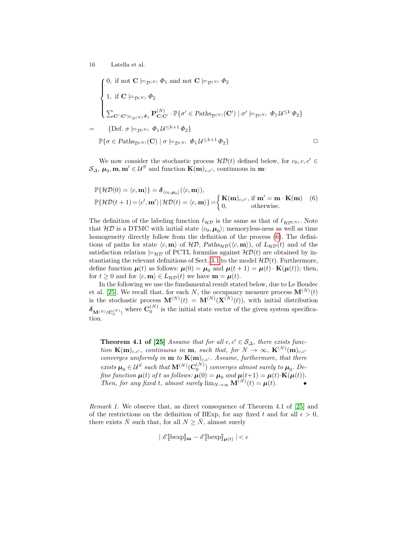$$
\begin{cases}\n0, \text{ if not } \mathbf{C} \models_{\mathcal{D}^{(N)}} \Phi_1 \text{ and not } \mathbf{C} \models_{\mathcal{D}^{(N)}} \Phi_2 \\
1, \text{ if } \mathbf{C} \models_{\mathcal{D}^{(N)}} \Phi_2 \\
\sum_{\mathbf{C}': \mathbf{C}' \models_{\mathcal{D}^{(N)}} \Phi_1} \mathbf{P}_{\mathbf{C}, \mathbf{C}'}^{(N)} \cdot \mathbb{P}\{\sigma' \in \text{Paths}_{\mathcal{D}^{(N)}}(\mathbf{C}') \mid \sigma' \models_{\mathcal{D}^{(N)}} \Phi_1 \mathcal{U}^{\leq k} \Phi_2\} \\
= \{ \text{Def. } \sigma \models_{\mathcal{D}^{(N)}} \Phi_1 \mathcal{U}^{\leq k+1} \Phi_2 \} \\
\mathbb{P}\{\sigma \in \text{Paths}_{\mathcal{D}^{(N)}}(\mathbf{C}) \mid \sigma \models_{\mathcal{D}^{(N)}} \Phi_1 \mathcal{U}^{\leq k+1} \Phi_2 \} \qquad \Box\n\end{cases}
$$

We now consider the stochastic process  $\mathcal{HD}(t)$  defined below, for  $c_0, c, c' \in$  $\mathcal{S}_{\Delta}, \mu_0, \mathbf{m}, \mathbf{m}' \in \mathcal{U}^S$  and function  $\mathbf{K}(\mathbf{m})_{c,c'}$ , continuous in  $\mathbf{m}$ :

<span id="page-15-0"></span>
$$
\mathbb{P}\{\mathcal{HD}(0) = \langle c, \mathbf{m} \rangle\} = \delta_{\langle c_0, \mu_0 \rangle}(\langle c, \mathbf{m} \rangle),
$$
  

$$
\mathbb{P}\{\mathcal{HD}(t+1) = \langle c', \mathbf{m}' \rangle \, | \, \mathcal{HD}(t) = \langle c, \mathbf{m} \rangle\} = \begin{cases} \mathbf{K}(\mathbf{m})_{c,c'}, \text{ if } \mathbf{m}' = \mathbf{m} \cdot \mathbf{K}(\mathbf{m}) \\ 0, \end{cases} (6)
$$

The definition of the labeling function  $\ell_{\mathcal{HD}}$  is the same as that of  $\ell_{\mathcal{HD}(N)}$ . Note that  $H\mathcal{D}$  is a DTMC with initial state  $\langle c_0, \mu_0 \rangle$ ; memoryless-ness as well as time homogeneity directly follow from the definition of the process [\(6\)](#page-15-0). The definitions of paths for state  $\langle c, \mathbf{m} \rangle$  of  $\mathcal{HD}$ , Paths<sub>HD</sub>( $\langle c, \mathbf{m} \rangle$ ), of  $L_{\mathcal{HD}}(t)$  and of the satisfaction relation  $\models_{\mathcal{HD}}$  of PCTL formulas against  $\mathcal{HD}(t)$  are obtained by in-stantiating the relevant definitions of Sect. [3.1](#page-4-1) to the model  $H\mathcal{D}(t)$ . Furthermore, define function  $\mu(t)$  as follows:  $\mu(0) = \mu_0$  and  $\mu(t+1) = \mu(t) \cdot \mathbf{K}(\mu(t));$  then, for  $t \geq 0$  and for  $\langle c, \mathbf{m} \rangle \in L_{\mathcal{HD}}(t)$  we have  $\mathbf{m} = \boldsymbol{\mu}(t)$ .

In the following we use the fundamental result stated below, due to Le Boudec et al. [\[25\]](#page-23-0). We recall that, for each N, the occupancy measure process  $\mathbf{M}^{(N)}(t)$ is the stochastic process  $\mathbf{M}^{(N)}(t) = \mathbf{M}^{(N)}(\mathbf{X}^{(N)}(t))$ , with initial distribution  $\delta_{\mathbf{M}^{(N)}(\mathbf{C}_0^{(N)})}$  where  $\mathbf{C}_0^{(N)}$  is the initial state vector of the given system specification.

**Theorem 4.1 of [\[25\]](#page-23-0)** Assume that for all  $c, c' \in S_\Delta$ , there exists function  $\mathbf{K(m)}_{c,c'}$ , continuous in **m**, such that, for  $N \to \infty$ ,  $\mathbf{K}^{(N)}(\mathbf{m})_{c,c'}$ converges uniformly in  $\mathbf{m}$  to  $\mathbf{K(m)}_{c,c'}$ . Assume, furthermore, that there exists  $\mu_0 \in \mathcal{U}^S$  such that  $\mathbf{M}^{(N)}(\mathbf{C}_0^{(N)})$  converges almost surely to  $\mu_0$ . Define function  $\mu(t)$  of t as follows:  $\mu(0) = \mu_0$  and  $\mu(t+1) = \mu(t) \cdot \mathbf{K}(\mu(t))$ . Then, for any fixed t, almost surely  $\lim_{N\to\infty} \mathbf{M}^{(N)}(t) = \boldsymbol{\mu}(t)$ .

<span id="page-15-1"></span>Remark 1. We observe that, as direct consequence of Theorem 4.1 of [\[25\]](#page-23-0) and of the restrictions on the definition of BExp, for any fixed t and for all  $\epsilon > 0$ , there exists  $\overline{N}$  such that, for all  $N \geq \overline{N}$ , almost surely

$$
\mid \mathscr{E}[\text{bexp}]_{\mathbf{m}} - \mathscr{E}[\text{bexp}]_{\boldsymbol{\mu}(t)} \mid < \epsilon
$$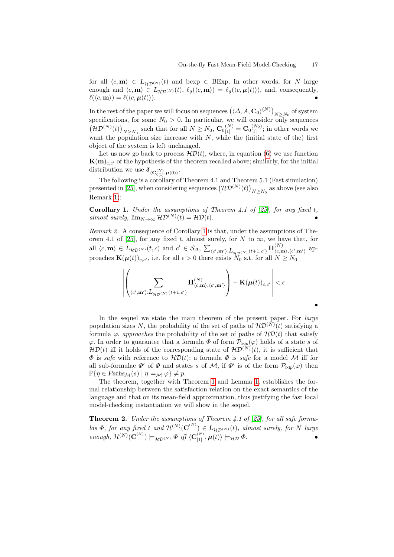for all  $\langle c, \mathbf{m} \rangle \in L_{\mathcal{HD}^{(N)}}(t)$  and bexp  $\in$  BExp. In other words, for N large enough and  $\langle c, \mathbf{m} \rangle \in L_{\mathcal{HD}^{(N)}}(t), \ell_g(\langle c, \mathbf{m} \rangle) = \ell_g(\langle c, \boldsymbol{\mu}(t) \rangle)$ , and, consequently,  $\ell(\langle c, \mathbf{m} \rangle) = \ell(\langle c, \boldsymbol{\mu}(t) \rangle).$ 

In the rest of the paper we will focus on sequences  $(\langle \Delta, A, \mathbf{C}_0 \rangle^{(N)})_{N>N_0}$  of system Specifications, for some  $N_0 > 0$ . In particular, we will consider only sequences  $(\mathcal{HD}^{(N)}(t))_{N\geq N_0}$  such that for all  $N\geq N_0$ ,  $\mathbf{C}_0_{[1]}^{(N)}=\mathbf{C}_0_{[1]}^{(N_0)}$ ; in other words we want the population size increase with  $N$ , while the (initial state of the) first object of the system is left unchanged.

Let us now go back to process  $\mathcal{HD}(t)$ , where, in equation [\(6\)](#page-15-0) we use function  ${\bf K}({\bf m})_{c,c'}$  of the hypothesis of the theorem recalled above; similarly, for the initial distribution we use  $\delta_{\langle \mathbf{C}_{0[1]}^{(N)}, \boldsymbol{\mu}(0) \rangle}.$ 

The following is a corollary of Theorem 4.1 and Theorem 5.1 (Fast simulation) presented in [\[25\]](#page-23-0), when considering sequences  $(\mathcal{HD}^{(N)}(t))_{N\geq N_0}$  as above (see also Remark [1\)](#page-15-1):

<span id="page-16-0"></span>**Corollary 1.** Under the assumptions of Theorem 4.1 of [\[25\]](#page-23-0), for any fixed t, almost surely,  $\lim_{N\to\infty} \mathcal{HD}^{(N)}(t) = \mathcal{HD}(t).$ 

Remark 2. A consequence of Corollary [1](#page-16-0) is that, under the assumptions of The-orem 4.1 of [\[25\]](#page-23-0), for any fixed t, almost surely, for N to  $\infty$ , we have that, for all  $\langle c, \mathbf{m} \rangle \in L_{\mathcal{HD}^{(N)}}(t, c)$  and  $c' \in \mathcal{S}_{\Delta}, \sum_{\langle c', \mathbf{m}' \rangle : L_{\mathcal{HD}^{(N)}}(t+1, c')} \mathbf{H}_{\langle c, \mathbf{m} \rangle}^{(N)}$  $\langle c,m \rangle, \langle c',m' \rangle$  approaches  $\mathbf{K}(\boldsymbol{\mu}(t))_{c,c'}$ , i.e. for all  $\epsilon > 0$  there exists  $N_0$  s.t. for all  $N \ge N_0$ 

$$
\left| \left( \sum_{\langle c',\mathbf{m}' \rangle: L_{\mathcal{HD}^{(N)}}(t+1,c')} \mathbf{H}_{\langle c,\mathbf{m} \rangle,\langle c',\mathbf{m}' \rangle}^{(N)} \right) - \mathbf{K}(\boldsymbol{\mu}(t))_{c,c'} \right| < \epsilon
$$

In the sequel we state the main theorem of the present paper. For *large* population sizes N, the probability of the set of paths of  $H\mathcal{D}^{(N)}(t)$  satisfying a formula  $\varphi$ , *approaches* the probability of the set of paths of  $\mathcal{HD}(t)$  that satisfy  $\varphi$ . In order to guarantee that a formula  $\Phi$  of form  $\mathcal{P}_{\bowtie p}(\varphi)$  holds of a state s of  $\mathcal{HD}(t)$  iff it holds of the corresponding state of  $\mathcal{HD}^{(N)}(t)$ , it is sufficient that  $\Phi$  is safe with reference to  $\mathcal{HD}(t)$ : a formula  $\Phi$  is safe for a model M iff for all sub-formulae  $\Phi'$  of  $\Phi$  and states s of M, if  $\Phi'$  is of the form  $\mathcal{P}_{\bowtie p}(\varphi)$  then  $\mathbb{P}\{\eta \in \text{Paths}_{\mathcal{M}}(s) \mid \eta \models_{\mathcal{M}} \varphi\} \neq p.$ 

The theorem, together with Theorem [1](#page-6-4) and Lemma [1,](#page-12-3) establishes the formal relationship between the satisfaction relation on the exact semantics of the language and that on its mean-field approximation, thus justifying the fast local model-checking instantiation we will show in the sequel.

**Theorem 2.** Under the assumptions of Theorem 4.1 of [\[25\]](#page-23-0), for all safe formulas  $\Phi$ , for any fixed t and  $\mathcal{H}^{(N)}(\mathbf{C}^{(N)}) \in L_{\mathcal{HD}^{(N)}}(t)$ , almost surely, for N large  $\mathit{enough}, \, \mathcal{H}^{(N)}(\mathbf{C}^{(N)}) \models_{\mathcal{HD}^{(N)}} \Phi \, \mathit{iff} \, \langle \mathbf{C}^{(N)}_{[1]}, \boldsymbol{\mu}(t) \rangle \models_{\mathcal{HD}} \Phi.$ 

•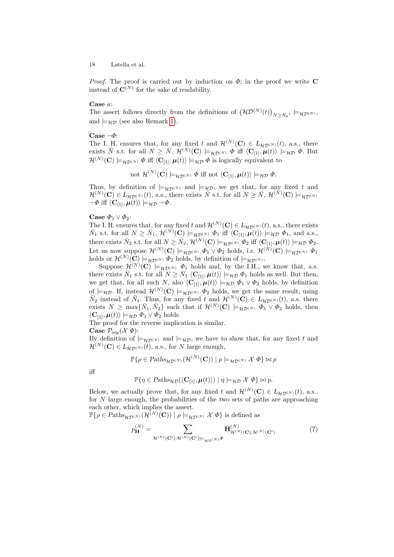*Proof.* The proof is carried out by induction on  $\Phi$ ; in the proof we write C instead of  $\mathbf{C}^{(N)}$  for the sake of readability.

#### Case a:

The assert follows directly from the definitions of  $(\mathcal{HD}^{(N)}(t))_{N\geq N_0}$ ,  $\models_{\mathcal{HD}^{(N)}}$ , and  $\models_{\mathcal{HD}}$  (see also Remark [1\)](#page-15-1).

#### Case  $\neg \Phi$ :

The I. H. ensures that, for any fixed t and  $\mathcal{H}^{(N)}(\mathbf{C}) \in L_{\mathcal{HD}^{(N)}}(t)$ , a.s., there exists  $\overline{N}$  s.t. for all  $N \geq \overline{N}$ ,  $\mathcal{H}^{(N)}(\mathbf{C}) \models_{\mathcal{HD}^{(N)}} \Phi$  iff  $\langle \mathbf{C}_{[1]}, \mu(t) \rangle \models_{\mathcal{HD}} \Phi$ . But  $\mathcal{H}^{(N)}(\mathbf{C}) \models_{\mathcal{HD}^{(N)}} \Phi \text{ iff } \langle \mathbf{C}_{[1]}, \boldsymbol{\mu}(t) \rangle \models_{\mathcal{HD}} \Phi \text{ is logically equivalent to }$ 

 $\mathrm{not}\,\,\mathcal{H}^{(N)}(\mathbf{C})\models_{\mathcal{HD}^{(N)}}\varPhi \text{ iff not }\langle \mathbf{C}_{[1]},\boldsymbol{\mu}(t)\rangle\models_{\mathcal{HD}}\varPhi.$ 

Thus, by definition of  $\models_{\mathcal{HD}(N)}$  and  $\models_{\mathcal{HD}}$ , we get that, for any fixed t and  $\mathcal{H}^{(N)}(\mathbf{C}) \in L_{\mathcal{HD}^{(N)}}(t)$ , a.s., there exists  $\overline{N}$  s.t. for all  $N \geq \overline{N}$ ,  $\mathcal{H}^{(\overline{N})}(\mathbf{C}) \models_{\mathcal{HD}^{(N)}}$  $\neg \Phi$  iff  $\langle C_{[1]}, \mu(t) \rangle \models_{\mathcal{HD}} \neg \Phi$ .

#### Case  $\Phi_1 \vee \Phi_2$ :

The I. H. ensures that, for any fixed t and  $\mathcal{H}^{(N)}(\mathbf{C}) \in L_{\mathcal{HD}^{(N)}}(t)$ , a.s., there exists  $\bar{N}_1$  s.t. for all  $N \geq \bar{N}_1$ ,  $\mathcal{H}^{(\bar{N})}(\mathbf{C}) \models_{\mathcal{HD}^{(\bar{N})}} \Phi_1$  iff  $\langle \mathbf{C}_{[1]}, \mu(t) \rangle \models_{\mathcal{HD}} \Phi_1$ , and a.s., there exists  $\bar{N}_2$  s.t. for all  $N \ge \bar{N}_2$ ,  $\mathcal{H}^{(N)}(\mathbf{C}) \models_{\mathcal{HD}^{(N)}} \Phi_2$  iff  $\langle \mathbf{C}_{[1]}, \boldsymbol{\mu}(t) \rangle \models_{\mathcal{HD}} \Phi_2$ . Let us now suppose  $\mathcal{H}^{(N)}(\mathbf{C}) \models_{\mathcal{HD}^{(N)}} \Phi_1 \vee \Phi_2$  holds, i.e.  $\mathcal{H}^{(N)}(\mathbf{C}) \models_{\mathcal{HD}^{(N)}} \Phi_1$ holds or  $\mathcal{H}^{(N)}(\mathbf{C}) \models_{\mathcal{HD}^{(N)}} \Phi_2$  holds, by definition of  $\models_{\mathcal{HD}^{(N)}}$ .

Suppose  $\mathcal{H}^{(N)}(\mathbf{C}) \models_{\mathcal{HD}^{(N)}} \Phi_1$  holds and, by the I.H., we know that, a.s. there exists  $\bar{N}_1$  s.t. for all  $N \ge \bar{N}_1 \langle \mathbf{C}_{[1]}, \boldsymbol{\mu}(t) \rangle \models_{\mathcal{HD}} \Phi_1$  holds as well. But then, we get that, for all such N, also  $\langle C_{[1]}, \mu(t) \rangle \models_{H\mathcal{D}} \Phi_1 \vee \Phi_2$  holds, by definition of  $\models_{\mathcal{HD}}$ . If, instead  $\mathcal{H}^{(N)}(\mathbf{C}) \models_{\mathcal{HD}^{(N)}} \Phi_2$  holds, we get the same result, using  $\bar{N}_2$  instead of  $\bar{N}_1$ . Thus, for any fixed t and  $\mathcal{H}^{(N)}(\mathbf{C}) \in L_{\mathcal{HD}^{(N)}}(t)$ , a.s. there exists  $N \ge \max\{\bar{N}_1, \bar{N}_2\}$  such that if  $\mathcal{H}^{(N)}(\mathbf{C}) \models_{\mathcal{HD}(N)} \Phi_1 \vee \Phi_2$  holds, then  $\langle \mathbf{C}_{11}, \boldsymbol{\mu}(t) \rangle \models_{\mathcal{HD}} \tilde{\boldsymbol{\Phi}}_1 \vee \tilde{\boldsymbol{\Phi}}_2$  holds.

The proof for the reverse implication is similar.

Case  $\mathcal{P}_{\bowtie p}(\mathcal{X} \Phi)$ :

By definition of  $\models_{\mathcal{HD}(N)}$  and  $\models_{\mathcal{HD}}$ , we have to show that, for any fixed t and  $\mathcal{H}^{(N)}(\mathbf{C}) \in L_{\mathcal{HD}^{(N)}}(t)$ , a.s., for N large enough,

$$
\mathbb{P}\{\rho \in \mathcal{P}\text{aths}_{\mathcal{HD}(N)}(\mathcal{H}^{(N)}(\mathbf{C})) \mid \rho \models_{\mathcal{HD}^{(N)}} \mathcal{X} \Phi\} \bowtie p
$$

iff

$$
\mathbb{P}\{\eta \in \text{Paths}_{\mathcal{HD}}(\langle \mathbf{C}_{[1]}, \boldsymbol{\mu}(t) \rangle) \mid \eta \models_{\mathcal{HD}} \mathcal{X} \Phi\} \bowtie p.
$$

Below, we actually prove that, for any fixed t and  $\mathcal{H}^{(N)}(\mathbf{C}) \in L_{\mathcal{HD}^{(N)}}(t)$ , a.s., for  $N$  large enough, the probabilities of the two sets of paths are approaching each other, which implies the assert.

 $\mathbb{P}\{\rho \in \text{Paths}_{\mathcal{HD}^{(N)}}(\mathcal{H}^{(N)}(\mathbf{C})) \mid \rho \models_{\mathcal{HD}^{(N)}} \mathcal{X} \Phi\}$  is defined as

<span id="page-17-0"></span>
$$
p_{\mathbf{H}}^{(N)} = \sum_{\mathcal{H}^{(N)}(\mathbf{C}'): \mathcal{H}^{(N)}(\mathbf{C}') \models_{\mathcal{H}D^{(N)}} \Phi} \mathbf{H}_{\mathcal{H}^{(N)}(\mathbf{C}), \mathcal{H}^{(N)}(\mathbf{C}')}^{(N)}
$$
(7)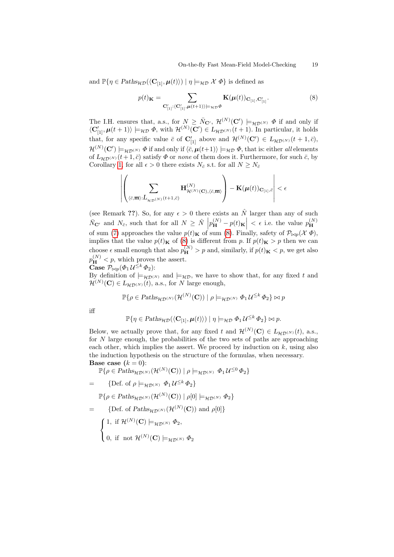and  $\mathbb{P}\{\eta \in \text{Paths}_{\mathcal{HD}}(\langle \mathbf{C}_{[1]}, \boldsymbol{\mu}(t)\rangle) \mid \eta \models_{\mathcal{HD}} \mathcal{X} \boldsymbol{\Phi}\}\$ is defined as

<span id="page-18-0"></span>
$$
p(t)K = \sum_{\mathbf{C}_{[1]}\,(\mathbf{C}_{[1]}',\boldsymbol{\mu}(t+1))\models_{\mathcal{HD}} \Phi} \mathbf{K}(\boldsymbol{\mu}(t))_{\mathbf{C}_{[1]},\mathbf{C}_{[1]}'}. \tag{8}
$$

The I.H. ensures that, a.s., for  $N \geq \bar{N}_{\mathbf{C}'}, \mathcal{H}^{(N)}(\mathbf{C}') \models_{\mathcal{HD}(N)} \Phi$  if and only if  $\langle C'_{[1]}, \boldsymbol{\mu}(t+1) \rangle \models_{\mathcal{HD}} \Phi$ , with  $\mathcal{H}^{(N)}(\mathbf{C}') \in L_{\mathcal{HD}^{(N)}}(t+1)$ . In particular, it holds that, for any specific value  $\bar{c}$  of  $\mathbf{C}_{[1]}'$  above and  $\mathcal{H}^{(N)}(\mathbf{C}') \in L_{\mathcal{HD}^{(N)}}(t+1,\bar{c}),$  $\mathcal{H}^{(N)}(\mathbf{C}')\models_{\mathcal{HD}^{(N)}}\varPhi$  if and only if  $\langle\bar{c},\boldsymbol\mu(t+1)\rangle\models_{\mathcal{HD}}\varPhi,$  that is: either all elements of  $L_{\mathcal{H}\mathcal{D}^{(N)}}(t+1,\bar{c})$  satisfy  $\Phi$  or none of them does it. Furthermore, for such  $\bar{c}$ , by Corollary [1,](#page-16-0) for all  $\epsilon > 0$  there exists  $N_{\bar{c}}$  s.t. for all  $N \ge N_{\bar{c}}$ 

$$
\left| \left( \sum_{(\bar{c},\overline{\mathbf{m}}): L_{\mathcal{HD}(N)}(t+1,\bar{c})} \mathbf{H}^{(N)}_{\mathcal{H}^{(N)}(\mathbf{C}),(\bar{c},\overline{\mathbf{m}})} \right) - \mathbf{K}(\boldsymbol{\mu}(t))_{\mathbf{C}_{[1]},\bar{c}} \right| < \epsilon
$$

(see Remark ??). So, for any  $\epsilon > 0$  there exists an  $\hat{N}$  larger than any of such  $\bar{N}_{\mathbf{C}'}$  and  $N_{\bar{c}}$ , such that for all  $N \geq \hat{N} \left| p_{\mathbf{H}}^{(N)} - p(t)_{\mathbf{K}} \right| < \epsilon$  i.e. the value  $p_{\mathbf{H}}^{(N)}$ H of sum [\(7\)](#page-17-0) approaches the value  $p(t)<sub>K</sub>$  of sum [\(8\)](#page-18-0). Finally, safety of  $\mathcal{P}_{\bowtie p}(\mathcal{X} \Phi)$ , implies that the value  $p(t)<sub>K</sub>$  of [\(8\)](#page-18-0) is different from p. If  $p(t)<sub>K</sub> > p$  then we can choose  $\epsilon$  small enough that also  $p_{\mathbf{H}}^{(N)} > p$  and, similarly, if  $p(t)_{\mathbf{K}} < p$ , we get also  $p_{\mathbf{H}}^{(N)} < p$ , which proves the assert.

Case  $\mathcal{P}_{\bowtie p}(\varPhi_{1}\,\mathcal{U}^{\leq k}\,\varPhi_{2})$ :

By definition of  $\models_{\mathcal{HD}(N)}$  and  $\models_{\mathcal{HD}}$ , we have to show that, for any fixed t and  $\mathcal{H}^{(N)}(\mathbf{C}) \in L_{\mathcal{HD}^{(N)}}(t)$ , a.s., for N large enough,

$$
\mathbb{P}\{\rho \in \mathcal{P}\text{aths}_{\mathcal{HD}(N)}(\mathcal{H}^{(N)}(\mathbf{C})) \mid \rho \models_{\mathcal{HD}^{(N)}} \Phi_1 \mathcal{U}^{\leq k} \Phi_2\} \bowtie p
$$

iff

$$
\mathbb{P}\{\eta \in \text{Paths}_{\mathcal{HD}}(\langle \mathbf{C}_{[1]}, \boldsymbol{\mu}(t) \rangle) \mid \eta \models_{\mathcal{HD}} \Phi_1 \mathcal{U}^{\leq k} \Phi_2 \} \bowtie p.
$$

Below, we actually prove that, for any fixed t and  $\mathcal{H}^{(N)}(\mathbf{C}) \in L_{\mathcal{HD}^{(N)}}(t)$ , a.s., for  $N$  large enough, the probabilities of the two sets of paths are approaching each other, which implies the assert. We proceed by induction on  $k$ , using also the induction hypothesis on the structure of the formulas, when necessary. Base case  $(k = 0)$ :

 $\mathbb{P}\{\rho \in \text{Paths}_{\mathcal{HD}^{(N)}}(\mathcal{H}^{(N)}(\mathbf{C})) \mid \rho \models_{\mathcal{HD}^{(N)}} \Phi_1 \mathcal{U}^{\leq 0} \Phi_2\}$ 

$$
= \{ \text{Def. of } \rho \models_{\mathcal{HD}^{(N)}} \Phi_1 \mathcal{U}^{\leq k} \Phi_2 \}
$$
  
\n
$$
\mathbb{P}\{ \rho \in \text{Paths}_{\mathcal{HD}^{(N)}}(\mathcal{H}^{(N)}(\mathbf{C})) \mid \rho[0] \models_{\mathcal{HD}^{(N)}} \Phi_2 \}
$$
  
\n
$$
= \{ \text{Def. of Paths}_{\mathcal{HD}^{(N)}}(\mathcal{H}^{(N)}(\mathbf{C})) \text{ and } \rho[0] \}
$$
  
\n
$$
\{ 1, \text{ if } \mathcal{H}^{(N)}(\mathbf{C}) \models_{\mathcal{HD}^{(N)}} \Phi_2,
$$

$$
\bigcup
$$
 0, if not  $\mathcal{H}^{(N)}(\mathbf{C}) \models_{\mathcal{HD}^{(N)}} \Phi_2$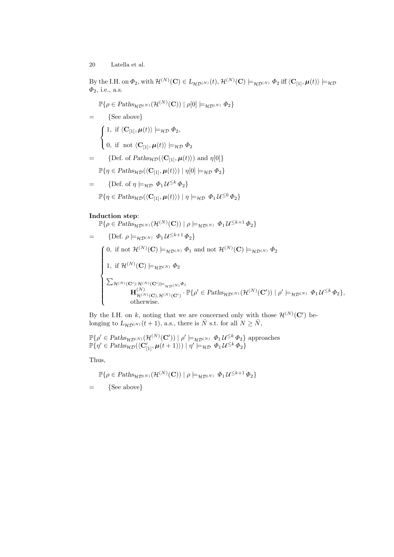By the I.H. on  $\Phi_2$ , with  $\mathcal{H}^{(N)}(\mathbf{C}) \in L_{\mathcal{HD}^{(N)}}(t)$ ,  $\mathcal{H}^{(N)}(\mathbf{C}) \models_{\mathcal{HD}^{(N)}} \Phi_2$  iff  $\langle \mathbf{C}_{[1]}, \boldsymbol{\mu}(t) \rangle \models_{\mathcal{HD}}$  $\Phi_2$ , i.e., a.s.

 $\mathbb{P}\{\rho \in \mathit{Paths}_{\mathcal{HD}^{(N)}}(\mathcal{H}^{(N)}(\mathbf{C})) \mid \rho[0] \models_{\mathcal{HD}^{(N)}} \Phi_2\}$  $=$  {See above}  $\sqrt{ }$ J  $\mathcal{L}$ 1, if  $\langle C_{[1]}, \mu(t) \rangle \models_{\mathcal{HD}} \Phi_2$ , 0, if not  $\langle \mathbf{C}_{[1]}, \boldsymbol{\mu}(t)\rangle \models_{\mathcal{HD}} \Phi_2$ = {Def. of  $Paths_{\mathcal{HD}}(\langle \mathbf{C}_{[1]}, \boldsymbol{\mu}(t) \rangle)$  and  $\eta[0]$ }  $\mathbb{P}{\eta \in \text{Paths}_{\mathcal{HD}}(\langle \mathbf{C}_{[1]}, \boldsymbol{\mu}(t)\rangle) | \eta[0] \models_{\mathcal{HD}} \Phi_2}$ 

= {Def. of 
$$
\eta \models_{\mathcal{HD}} \Phi_1 \mathcal{U}^{\leq k} \Phi_2
$$
}  

$$
\mathbb{P}\{\eta \in \text{Paths}_{\mathcal{HD}}(\langle \mathbf{C}_{[1]}, \boldsymbol{\mu}(t) \rangle) \mid \eta \models_{\mathcal{HD}} \Phi_1 \mathcal{U}^{\leq 0} \Phi_2\}
$$

## Induction step:

$$
\mathbb{P}\{\rho \in \text{Paths}_{\mathcal{HD}^{(N)}}(\mathcal{H}^{(N)}(\mathbf{C})) \mid \rho \models_{\mathcal{HD}^{(N)}} \Phi_1 \mathcal{U}^{\leq k+1} \Phi_2\}
$$
\n
$$
= \{ \text{Def. } \rho \models_{\mathcal{HD}^{(N)}} \Phi_1 \mathcal{U}^{\leq k+1} \Phi_2 \}
$$
\n
$$
\begin{cases}\n0, \text{ if not } \mathcal{H}^{(N)}(\mathbf{C}) \models_{\mathcal{HD}^{(N)}} \Phi_1 \text{ and not } \mathcal{H}^{(N)}(\mathbf{C}) \models_{\mathcal{HD}^{(N)}} \Phi_2 \\
1, \text{ if } \mathcal{H}^{(N)}(\mathbf{C}) \models_{\mathcal{HD}^{(N)}} \Phi_2 \\
\sum_{\mathcal{H}^{(N)}(\mathbf{C}'): \mathcal{H}^{(N)}(\mathbf{C}') \models_{\mathcal{HD}^{(N)}} \Phi_1} \mathbf{H}^{(N)}_{\mathcal{H}^{(N)}(\mathbf{C}), \mathcal{H}^{(N)}(\mathbf{C}')} \cdot \mathbb{P}\{\rho' \in \text{Paths}_{\mathcal{HD}^{(N)}}(\mathcal{H}^{(N)}(\mathbf{C}')) \mid \rho' \models_{\mathcal{HD}^{(N)}} \Phi_1 \mathcal{U}^{\leq k} \Phi_2\}, \\
\text{ otherwise.}\n\end{cases}
$$

By the I.H. on k, noting that we are concerned only with those  $\mathcal{H}^{(N)}(\mathbf{C}')$  belonging to  $L_{\mathcal{HD}^{(N)}}(t+1)$ , a.s., there is  $\overline{N}$  s.t. for all  $N \geq \overline{N}$ ,

$$
\mathbb{P}\{\rho' \in \text{Paths}_{\mathcal{HD}^{(N)}}(\mathcal{H}^{(N)}(\mathbf{C}')) \mid \rho' \models_{\mathcal{HD}^{(N)}} \Phi_1 \mathcal{U}^{\leq k} \Phi_2 \} \text{ approaches}
$$
  

$$
\mathbb{P}\{\eta' \in \text{Paths}_{\mathcal{HD}}(\langle \mathbf{C}'_{[1]}, \mu(t+1) \rangle) \mid \eta' \models_{\mathcal{HD}} \Phi_1 \mathcal{U}^{\leq k} \Phi_2 \}
$$

Thus,

$$
\mathbb{P}\{\rho\in\mathit{Paths}_{\mathcal{HD}^{(N)}}(\mathcal{H}^{(N)}(\mathbf{C}))\mid \rho\models_{\mathcal{HD}^{(N)}}\varPhi_1\ \mathcal{U}^{\leq k+1}\ \varPhi_2\}
$$

 $=$  {See above}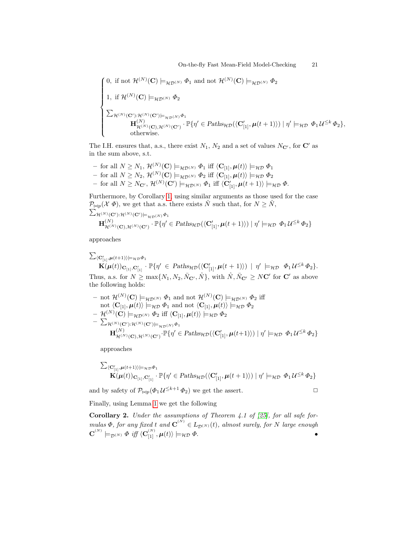$$
\begin{cases}\n0, \text{ if not } \mathcal{H}^{(N)}(\mathbf{C}) \models_{\mathcal{HD}^{(N)}} \Phi_1 \text{ and not } \mathcal{H}^{(N)}(\mathbf{C}) \models_{\mathcal{HD}^{(N)}} \Phi_2 \\
1, \text{ if } \mathcal{H}^{(N)}(\mathbf{C}) \models_{\mathcal{HD}^{(N)}} \Phi_2 \\
\sum_{\mathcal{H}^{(N)}(\mathbf{C}'): \mathcal{H}^{(N)}(\mathbf{C}') \models_{\mathcal{HD}^{(N)}} \Phi_1} \mathbf{H}^{(N)}_{\mathcal{H}^{(N)}(\mathbf{C}), \mathcal{H}^{(N)}(\mathbf{C}')} \cdot \mathbb{P}\{\eta' \in \text{Paths}_{\mathcal{HD}}(\langle \mathbf{C}'_{[1]}, \mu(t+1) \rangle) \mid \eta' \models_{\mathcal{HD}} \Phi_1 \mathcal{U}^{\leq k} \Phi_2\}, \\
\text{ otherwise.} \n\end{cases}
$$

The I.H. ensures that, a.s., there exist  $N_1$ ,  $N_2$  and a set of values  $N_{\mathbf{C}'}$ , for  $\mathbf{C}'$  as in the sum above, s.t.

- for all  $N \geq N_1$ ,  $\mathcal{H}^{(N)}(\mathbf{C}) \models_{\mathcal{HD}^{(N)}} \Phi_1$  iff  $\langle \mathbf{C}_{[1]}, \boldsymbol{\mu}(t) \rangle \models_{\mathcal{HD}} \Phi_1$
- for all  $N \ge N_2$ ,  $\mathcal{H}^{(N)}(\mathbf{C}) \models_{\mathcal{HD}^{(N)}} \Phi_2$  iff  $\langle \mathbf{C}_{[1]}, \boldsymbol{\mu}(t) \rangle \models_{\mathcal{HD}} \Phi_2$
- $-$  for all  $N \geq N_{\mathbf{C}'}, \, \mathcal{H}^{(N)}(\mathbf{C}') \models_{\mathcal{HD}^{(N)}} \Phi_1 \text{ iff } \langle \mathbf{C}'_{[1]}, \boldsymbol{\mu}(t+1) \rangle \models_{\mathcal{HD}} \Phi.$

Furthermore, by Corollary [1,](#page-16-0) using similar arguments as those used for the case  $P_{\bowtie p}(\mathcal{X} \Phi)$ , we get that a.s. there exists  $\hat{N}$  such that, for  $N \geq \hat{N}$ ,<br>  $\sum_{\mathcal{H}^{(N)}(\mathbf{C}')\cdot\mathcal{H}^{(N)}(\mathbf{C}')=\emptyset}$ ,  $\sum_{\mathcal{H}^{(N)}(\mathbf{C}'): \mathcal{H}^{(N)}(\mathbf{C}') \models_{\mathcal{H}\mathcal{D}(N)} \Phi_1}$ 

$$
\mathbf{H}_{\mathcal{H}^{(N)}(\mathbf{C}),\mathcal{H}^{(N)}(\mathbf{C}')}^{(N)} \cdot \mathbb{P}\{\eta' \in \text{Paths}_{\mathcal{HD}}(\langle \mathbf{C}'_{[1]}, \boldsymbol{\mu}(t+1) \rangle) \mid \eta' \models_{\mathcal{HD}} \Phi_1 \mathcal{U}^{\leq k} \Phi_2\}
$$

approaches

$$
\sum_{\langle \mathbf{C}'_{[1]}, \boldsymbol{\mu}(t+1) \rangle \models_{\mathcal{HD}} \Phi_1} \mathbf{K}(\boldsymbol{\mu}(t))_{\mathbf{C}_{[1]}, \mathbf{C}'_{[1]}} \cdot \mathbb{P}\{\eta' \in \text{Paths}_{\mathcal{HD}}(\langle \mathbf{C}'_{[1]}, \boldsymbol{\mu}(t+1) \rangle) \mid \eta' \models_{\mathcal{HD}} \Phi_1 \mathcal{U}^{\leq k} \Phi_2 \}.
$$
\nThus, a.s. for  $N \geq \max\{N_1, N_2, \bar{N}_{\mathbf{C}'}, \hat{N}\}$ , with  $\hat{N}, \bar{N}_{\mathbf{C}'} \geq N\mathbf{C}'$  for  $\mathbf{C}'$  as above the following holds:

- not 
$$
\mathcal{H}^{(N)}(\mathbf{C}) \models_{\mathcal{H}\mathcal{D}^{(N)}} \Phi_1
$$
 and not  $\mathcal{H}^{(N)}(\mathbf{C}) \models_{\mathcal{H}\mathcal{D}^{(N)}} \Phi_2$  iff  
\nnot  $\langle \mathbf{C}_{[1]}, \boldsymbol{\mu}(t) \rangle \models_{\mathcal{H}\mathcal{D}} \Phi_1$  and not  $\langle \mathbf{C}_{[1]}, \boldsymbol{\mu}(t) \rangle \models_{\mathcal{H}\mathcal{D}} \Phi_2$   
\n-  $\mathcal{H}^{(N)}(\mathbf{C}) \models_{\mathcal{H}\mathcal{D}^{(N)}} \Phi_2$  iff  $\langle \mathbf{C}_{[1]}, \boldsymbol{\mu}(t) \rangle \models_{\mathcal{H}\mathcal{D}} \Phi_2$   
\n-  $\sum_{\mathcal{H}^{(N)}(\mathbf{C}'): \mathcal{H}^{(N)}(\mathbf{C}') \models_{\mathcal{H}\mathcal{D}^{(N)}} \Phi_1$   
\n $\mathbf{H}^{(N)}_{\mathcal{H}^{(N)}(\mathbf{C}), \mathcal{H}^{(N)}(\mathbf{C}')} \cdot \mathbb{P} \{ \eta' \in \text{Paths}_{\mathcal{H}\mathcal{D}} (\langle \mathbf{C}'_{[1]}, \boldsymbol{\mu}(t+1) \rangle) \mid \eta' \models_{\mathcal{H}\mathcal{D}} \Phi_1 \mathcal{U}^{\leq k} \Phi_2 \}$ 

approaches

$$
\sum_{\substack{\mathbf{C_{[1]}', \mu(t+1)\models \mu_D \Phi_1}}}\n\mathbf{K}(\mu(t))_{\mathbf{C_{[1]}}, \mathbf{C_{[1]}}}\n\cdot \mathbb{P}\{\eta' \in \text{Paths}_{\mathcal{HD}}(\langle \mathbf{C_{[1]}', \mu(t+1)\rangle) \mid \eta' \models_{\mathcal{HD}} \Phi_1 \mathcal{U}^{\leq k} \Phi_2\}
$$

and by safety of  $\mathcal{P}_{\bowtie p}(\Phi_1 \mathcal{U}^{\leq k+1} \Phi_2)$  we get the assert.

Finally, using Lemma [1](#page-12-3) we get the following

**Corollary 2.** Under the assumptions of Theorem 4.1 of [\[25\]](#page-23-0), for all safe formulas  $\Phi$ , for any fixed t and  $\textbf{C}^{(N)} \in L_{\mathcal{D}^{(N)}}(t)$ , almost surely, for N large enough  $\textbf{C}^{^{(N)}}\models_{\mathcal{D}^{(N)}}\varPhi\ if\ \langle \textbf{C}_{[1]}^{^{(N)}},\pmb{\mu}(t)\rangle \models_{\mathcal{HD}}\varPhi.$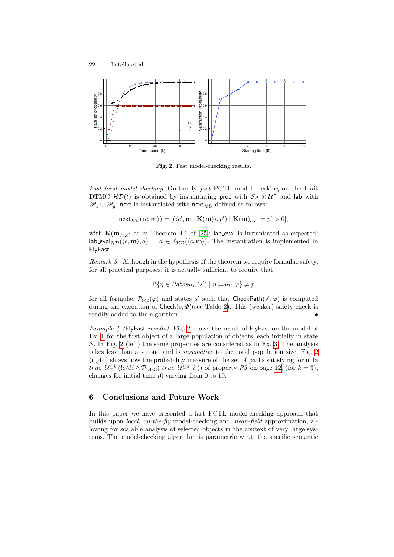

<span id="page-21-0"></span>Fig. 2. Fast model-checking results.

Fast local model-checking On-the-fly fast PCTL model-checking on the limit DTMC  $H\mathcal{D}(t)$  is obtained by instantiating proc with  $\mathcal{S}_\Delta \times \mathcal{U}^S$  and lab with  $\mathscr{P}_1 \cup \mathscr{P}_g$ ; next is instantiated with next<sub>HD</sub> defined as follows:

$$
\mathsf{next}_{{\mathcal{HD}}}(\langle c,{\textbf{m}}\rangle)=[(\langle c',{\textbf{m}}\cdot{\textbf{K}}({\textbf{m}})\rangle,p')\mid {\textbf{K}}({\textbf{m}})_{c,c'}=p'>0],
$$

with  $K(m)_{c,c'}$  as in Theorem 4.1 of [\[25\]](#page-23-0); lab eval is instantiated as expected:  $\vert$ lab eval $_{\mathcal{HD}}(\langle c, m \rangle, a) = a \in \ell_{\mathcal{HD}}(\langle c, m \rangle)$ . The instantiation is implemented in FlyFast.

Remark 3. Although in the hypothesis of the theorem we require formulae safety, for all practical purposes, it is actually sufficient to require that

$$
\mathbb{P}\{\eta \in \text{Paths}_{\mathcal{HD}}(s') \mid \eta \models_{\mathcal{HD}} \varphi\} \neq p
$$

for all formulae  $\mathcal{P}_{\bowtie p}(\varphi)$  and states s' such that CheckPath $(s', \varphi)$  is computed during the execution of  $\mathsf{Check}(s, \Phi)$ (see Table [2\)](#page-5-0). This (weaker) safety check is readily added to the algorithm. •

Example 4 (FlyFast results). Fig. [2](#page-21-0) shows the result of FlyFast on the model of Ex. [1](#page-7-0) for the first object of a large population of objects, each initially in state S. In Fig. [2](#page-21-0) (left) the same properties are considered as in Ex. [3.](#page-10-3) The analysis takes less than a second and is insensitive to the total population size. Fig. [2](#page-21-0) (right) shows how the probability measure of the set of paths satisfying formula true  $\mathcal{U}^{\leq k}$  (!e $\wedge$ !i  $\wedge$  P<sub>>0.3</sub>( true  $\mathcal{U}^{\leq 5}$  i)) of property P3 on page [12,](#page-10-3) (for  $k = 3$ ), changes for initial time  $t0$  varying from 0 to 10.

#### 6 Conclusions and Future Work

In this paper we have presented a fast PCTL model-checking approach that builds upon local, on-the-fly model-checking and mean-field approximation, allowing for scalable analysis of selected objects in the context of very large systems. The model-checking algorithm is parametric w.r.t. the specific semantic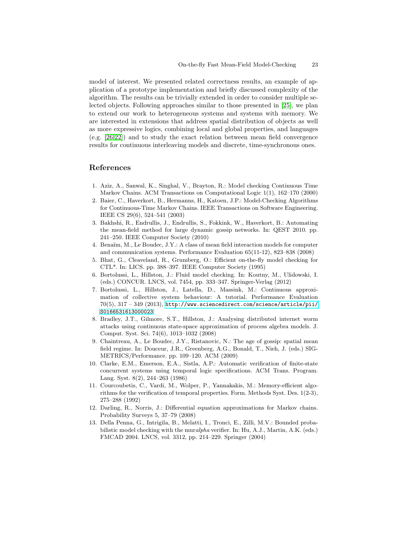model of interest. We presented related correctness results, an example of application of a prototype implementation and briefly discussed complexity of the algorithm. The results can be trivially extended in order to consider multiple selected objects. Following approaches similar to those presented in [\[25\]](#page-23-0), we plan to extend our work to heterogeneous systems and systems with memory. We are interested in extensions that address spatial distribution of objects as well as more expressive logics, combining local and global properties, and languages (e.g. [\[26,](#page-23-14)[22\]](#page-23-3)) and to study the exact relation between mean field convergence results for continuous interleaving models and discrete, time-synchronous ones.

### References

- <span id="page-22-6"></span>1. Aziz, A., Sanwal, K., Singhal, V., Brayton, R.: Model checking Continuous Time Markov Chains. ACM Transactions on Computational Logic 1(1), 162–170 (2000)
- <span id="page-22-4"></span>2. Baier, C., Haverkort, B., Hermanns, H., Katoen, J.P.: Model-Checking Algorithms for Continuous-Time Markov Chains. IEEE Transactions on Software Engineering. IEEE CS 29(6), 524–541 (2003)
- <span id="page-22-9"></span>3. Bakhshi, R., Endrullis, J., Endrullis, S., Fokkink, W., Haverkort, B.: Automating the mean-field method for large dynamic gossip networks. In: QEST 2010. pp. 241–250. IEEE Computer Society (2010)
- <span id="page-22-10"></span>4. Benaïm, M., Le Boudec, J.Y.: A class of mean field interaction models for computer and communication systems. Performance Evaluation 65(11-12), 823–838 (2008)
- <span id="page-22-2"></span>5. Bhat, G., Cleaveland, R., Grumberg, O.: Efficient on-the-fly model checking for CTL\*. In: LICS. pp. 388–397. IEEE Computer Society (1995)
- <span id="page-22-11"></span>6. Bortolussi, L., Hillston, J.: Fluid model checking. In: Koutny, M., Ulidowski, I. (eds.) CONCUR. LNCS, vol. 7454, pp. 333–347. Springer-Verlag (2012)
- <span id="page-22-0"></span>7. Bortolussi, L., Hillston, J., Latella, D., Massink, M.: Continuous approximation of collective system behaviour: A tutorial. Performance Evaluation  $70(5), 317 - 349$  (2013), [http://www.sciencedirect.com/science/article/pii/](http://www.sciencedirect.com/science/article/pii/S0166531613000023) [S0166531613000023](http://www.sciencedirect.com/science/article/pii/S0166531613000023)
- <span id="page-22-8"></span>8. Bradley, J.T., Gilmore, S.T., Hillston, J.: Analysing distributed internet worm attacks using continuous state-space approximation of process algebra models. J. Comput. Syst. Sci. 74(6), 1013–1032 (2008)
- <span id="page-22-7"></span>9. Chaintreau, A., Le Boudec, J.Y., Ristanovic, N.: The age of gossip: spatial mean field regime. In: Douceur, J.R., Greenberg, A.G., Bonald, T., Nieh, J. (eds.) SIG-METRICS/Performance. pp. 109–120. ACM (2009)
- <span id="page-22-3"></span>10. Clarke, E.M., Emerson, E.A., Sistla, A.P.: Automatic verification of finite-state concurrent systems using temporal logic specifications. ACM Trans. Program. Lang. Syst. 8(2), 244–263 (1986)
- <span id="page-22-1"></span>11. Courcoubetis, C., Vardi, M., Wolper, P., Yannakakis, M.: Memory-efficient algorithms for the verification of temporal properties. Form. Methods Syst. Des. 1(2-3), 275–288 (1992)
- <span id="page-22-12"></span>12. Darling, R., Norris, J.: Differential equation approximations for Markov chains. Probability Surveys 5, 37–79 (2008)
- <span id="page-22-5"></span>13. Della Penna, G., Intrigila, B., Melatti, I., Tronci, E., Zilli, M.V.: Bounded probabilistic model checking with the muralpha verifier. In: Hu, A.J., Martin, A.K. (eds.) FMCAD 2004. LNCS, vol. 3312, pp. 214–229. Springer (2004)